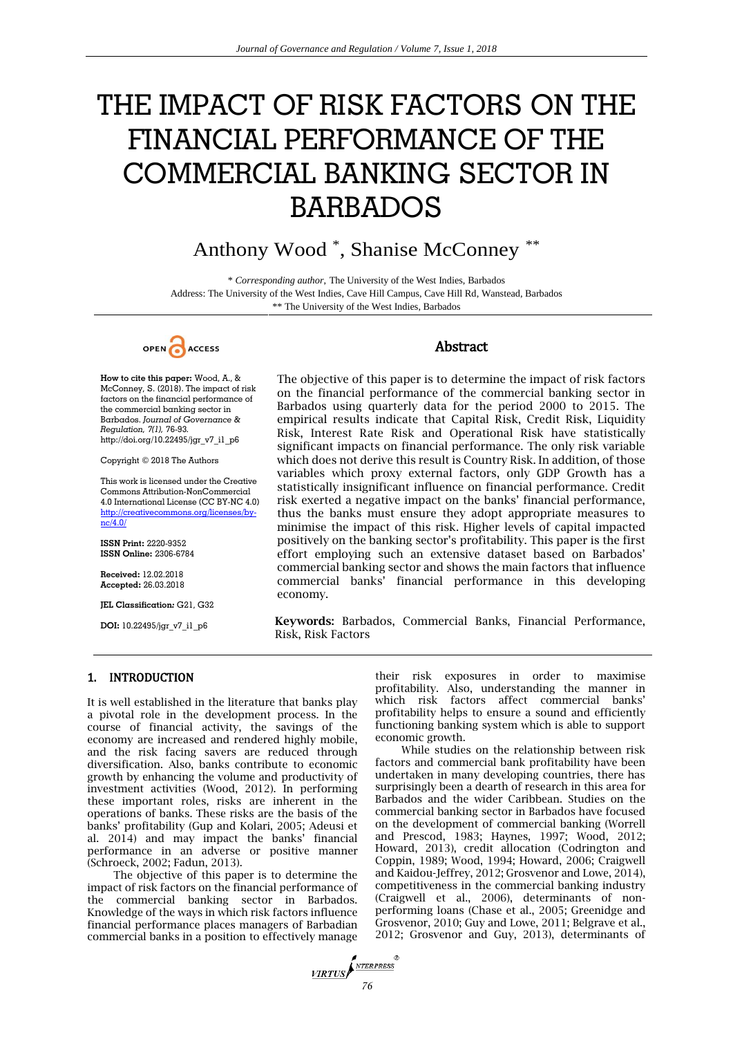# THE IMPACT OF RISK FACTORS ON THE FINANCIAL PERFORMANCE OF THE COMMERCIAL BANKING SECTOR IN BARBADOS

# Anthony Wood \* , Shanise McConney \*\*

\* *Corresponding author*, The University of the West Indies, Barbados Address: The University of the West Indies, Cave Hill Campus, Cave Hill Rd, Wanstead, Barbados \*\* The University of the West Indies, Barbados



**How to cite this paper:** Wood, A., & McConney, S. (2018). The impact of risk factors on the financial performance of the commercial banking sector in Barbados. *Journal of Governance & Regulation, 7(1),* 76-93*.* http://doi.org/10.22495/jgr\_v7\_i1\_p6

Copyright © 2018 The Authors

This work is licensed under the Creative Commons Attribution-NonCommercial 4.0 International License (CC BY-NC 4.0) [http://creativecommons.org/licenses/by](http://creativecommons.org/licenses/by-nc/4.0/) $nc/4.0/$ 

**ISSN Print:** 2220-9352 **ISSN Online:** 2306-6784

**Received:** 12.02.2018 **Accepted:** 26.03.2018

**JEL Classification***:* G21, G32

**DOI:** 10.22495/jgr\_v7\_i1\_p6

# Abstract

The objective of this paper is to determine the impact of risk factors on the financial performance of the commercial banking sector in Barbados using quarterly data for the period 2000 to 2015. The empirical results indicate that Capital Risk, Credit Risk, Liquidity Risk, Interest Rate Risk and Operational Risk have statistically significant impacts on financial performance. The only risk variable which does not derive this result is Country Risk. In addition, of those variables which proxy external factors, only GDP Growth has a statistically insignificant influence on financial performance. Credit risk exerted a negative impact on the banks' financial performance, thus the banks must ensure they adopt appropriate measures to minimise the impact of this risk. Higher levels of capital impacted positively on the banking sector's profitability. This paper is the first effort employing such an extensive dataset based on Barbados' commercial banking sector and shows the main factors that influence commercial banks' financial performance in this developing economy.

**Keywords:** Barbados, Commercial Banks, Financial Performance, Risk, Risk Factors

# 1. INTRODUCTION

It is well established in the literature that banks play a pivotal role in the development process. In the course of financial activity, the savings of the economy are increased and rendered highly mobile, and the risk facing savers are reduced through diversification. Also, banks contribute to economic growth by enhancing the volume and productivity of investment activities (Wood, 2012). In performing these important roles, risks are inherent in the operations of banks. These risks are the basis of the banks' profitability (Gup and Kolari, 2005; Adeusi et al. 2014) and may impact the banks' financial performance in an adverse or positive manner (Schroeck, 2002; Fadun, 2013).

The objective of this paper is to determine the impact of risk factors on the financial performance of the commercial banking sector in Barbados. Knowledge of the ways in which risk factors influence financial performance places managers of Barbadian commercial banks in a position to effectively manage

their risk exposures in order to maximise profitability. Also, understanding the manner in which risk factors affect commercial banks' profitability helps to ensure a sound and efficiently functioning banking system which is able to support economic growth.

While studies on the relationship between risk factors and commercial bank profitability have been undertaken in many developing countries, there has surprisingly been a dearth of research in this area for Barbados and the wider Caribbean. Studies on the commercial banking sector in Barbados have focused on the development of commercial banking (Worrell and Prescod, 1983; Haynes, 1997; Wood, 2012; Howard, 2013), credit allocation (Codrington and Coppin, 1989; Wood, 1994; Howard, 2006; Craigwell and Kaidou-Jeffrey, 2012; Grosvenor and Lowe, 2014), competitiveness in the commercial banking industry (Craigwell et al., 2006), determinants of nonperforming loans (Chase et al., 2005; Greenidge and Grosvenor, 2010; Guy and Lowe, 2011; Belgrave et al., 2012; Grosvenor and Guy, 2013), determinants of

*VIRTUS*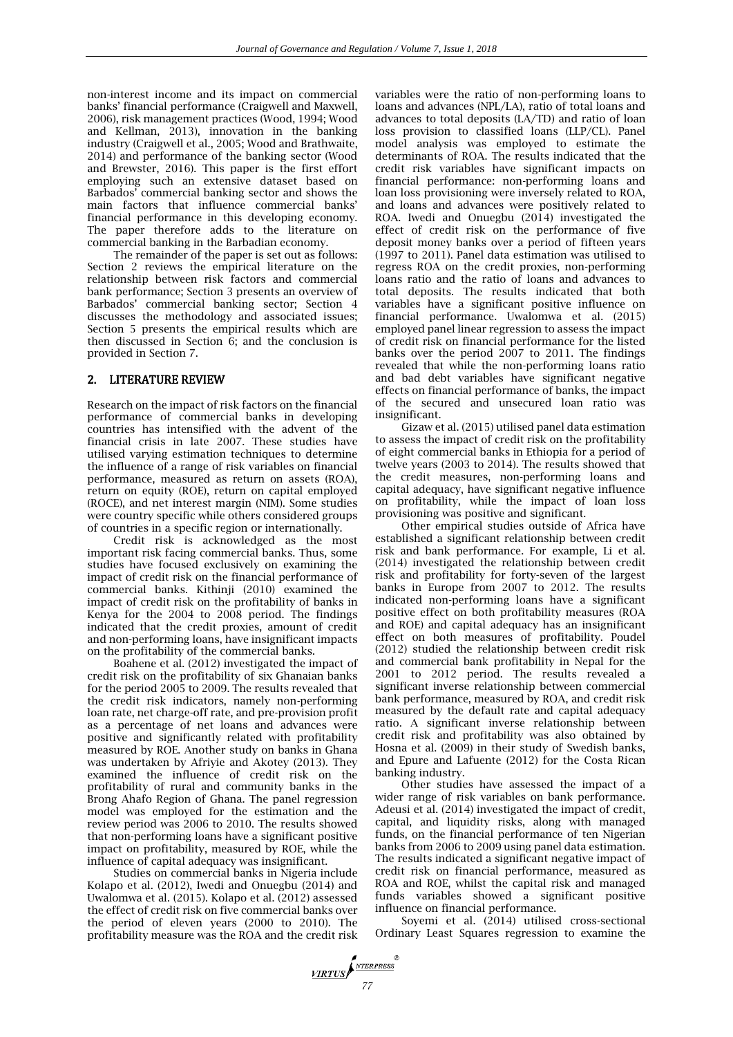non-interest income and its impact on commercial banks' financial performance (Craigwell and Maxwell, 2006), risk management practices (Wood, 1994; Wood and Kellman, 2013), innovation in the banking industry (Craigwell et al., 2005; Wood and Brathwaite, 2014) and performance of the banking sector (Wood and Brewster, 2016). This paper is the first effort employing such an extensive dataset based on Barbados' commercial banking sector and shows the main factors that influence commercial banks' financial performance in this developing economy. The paper therefore adds to the literature on commercial banking in the Barbadian economy.

The remainder of the paper is set out as follows: Section 2 reviews the empirical literature on the relationship between risk factors and commercial bank performance; Section 3 presents an overview of Barbados' commercial banking sector; Section 4 discusses the methodology and associated issues; Section 5 presents the empirical results which are then discussed in Section 6; and the conclusion is provided in Section 7.

# 2. LITERATURE REVIEW

Research on the impact of risk factors on the financial performance of commercial banks in developing countries has intensified with the advent of the financial crisis in late 2007. These studies have utilised varying estimation techniques to determine the influence of a range of risk variables on financial performance, measured as return on assets (ROA), return on equity (ROE), return on capital employed (ROCE), and net interest margin (NIM). Some studies were country specific while others considered groups of countries in a specific region or internationally.

Credit risk is acknowledged as the most important risk facing commercial banks. Thus, some studies have focused exclusively on examining the impact of credit risk on the financial performance of commercial banks. Kithinji (2010) examined the impact of credit risk on the profitability of banks in Kenya for the 2004 to 2008 period. The findings indicated that the credit proxies, amount of credit and non-performing loans, have insignificant impacts on the profitability of the commercial banks.

Boahene et al. (2012) investigated the impact of credit risk on the profitability of six Ghanaian banks for the period 2005 to 2009. The results revealed that the credit risk indicators, namely non-performing loan rate, net charge-off rate, and pre-provision profit as a percentage of net loans and advances were positive and significantly related with profitability measured by ROE. Another study on banks in Ghana was undertaken by Afriyie and Akotey (2013). They examined the influence of credit risk on the profitability of rural and community banks in the Brong Ahafo Region of Ghana. The panel regression model was employed for the estimation and the review period was 2006 to 2010. The results showed that non-performing loans have a significant positive impact on profitability, measured by ROE, while the influence of capital adequacy was insignificant.

Studies on commercial banks in Nigeria include Kolapo et al. (2012), Iwedi and Onuegbu (2014) and Uwalomwa et al. (2015). Kolapo et al. (2012) assessed the effect of credit risk on five commercial banks over the period of eleven years (2000 to 2010). The profitability measure was the ROA and the credit risk variables were the ratio of non-performing loans to loans and advances (NPL/LA), ratio of total loans and advances to total deposits (LA/TD) and ratio of loan loss provision to classified loans (LLP/CL). Panel model analysis was employed to estimate the determinants of ROA. The results indicated that the credit risk variables have significant impacts on financial performance: non-performing loans and loan loss provisioning were inversely related to ROA, and loans and advances were positively related to ROA. Iwedi and Onuegbu (2014) investigated the effect of credit risk on the performance of five deposit money banks over a period of fifteen years (1997 to 2011). Panel data estimation was utilised to regress ROA on the credit proxies, non-performing loans ratio and the ratio of loans and advances to total deposits. The results indicated that both variables have a significant positive influence on financial performance. Uwalomwa et al. (2015) employed panel linear regression to assess the impact of credit risk on financial performance for the listed banks over the period 2007 to 2011. The findings revealed that while the non-performing loans ratio and bad debt variables have significant negative effects on financial performance of banks, the impact of the secured and unsecured loan ratio was insignificant.

Gizaw et al. (2015) utilised panel data estimation to assess the impact of credit risk on the profitability of eight commercial banks in Ethiopia for a period of twelve years (2003 to 2014). The results showed that the credit measures, non-performing loans and capital adequacy, have significant negative influence on profitability, while the impact of loan loss provisioning was positive and significant.

Other empirical studies outside of Africa have established a significant relationship between credit risk and bank performance. For example, Li et al. (2014) investigated the relationship between credit risk and profitability for forty-seven of the largest banks in Europe from 2007 to 2012. The results indicated non-performing loans have a significant positive effect on both profitability measures (ROA and ROE) and capital adequacy has an insignificant effect on both measures of profitability. Poudel (2012) studied the relationship between credit risk and commercial bank profitability in Nepal for the 2001 to 2012 period. The results revealed a significant inverse relationship between commercial bank performance, measured by ROA, and credit risk measured by the default rate and capital adequacy ratio. A significant inverse relationship between credit risk and profitability was also obtained by Hosna et al. (2009) in their study of Swedish banks, and Epure and Lafuente (2012) for the Costa Rican banking industry.

Other studies have assessed the impact of a wider range of risk variables on bank performance. Adeusi et al. (2014) investigated the impact of credit, capital, and liquidity risks, along with managed funds, on the financial performance of ten Nigerian banks from 2006 to 2009 using panel data estimation. The results indicated a significant negative impact of credit risk on financial performance, measured as ROA and ROE, whilst the capital risk and managed funds variables showed a significant positive influence on financial performance.

Soyemi et al. (2014) utilised cross-sectional Ordinary Least Squares regression to examine the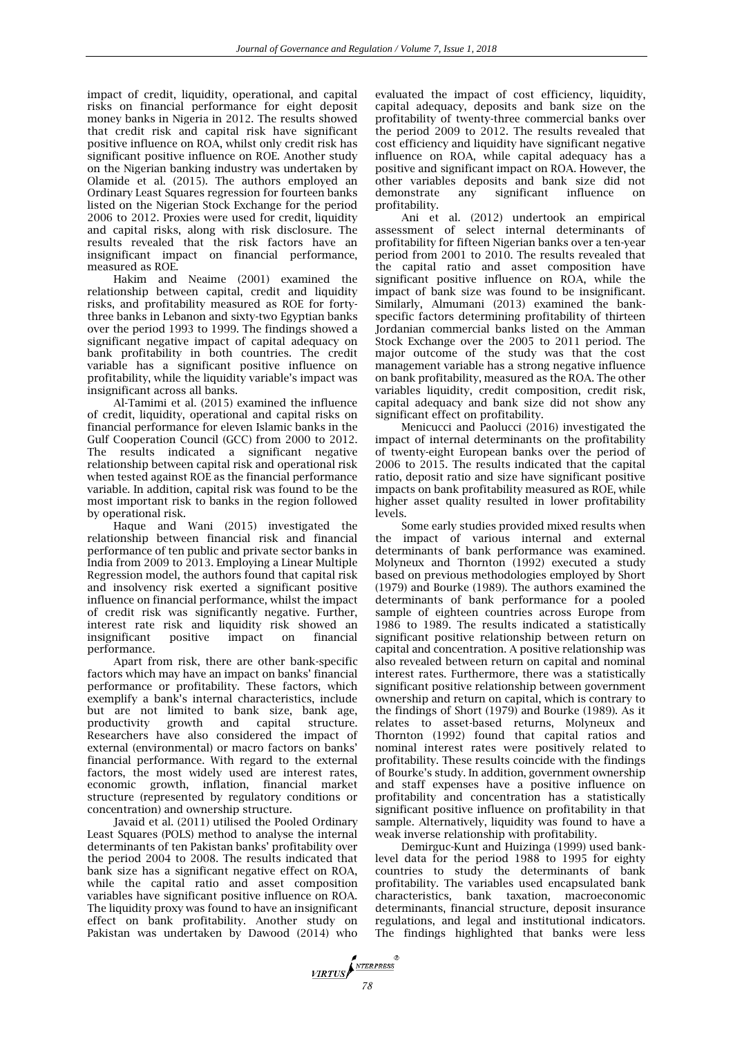impact of credit, liquidity, operational, and capital risks on financial performance for eight deposit money banks in Nigeria in 2012. The results showed that credit risk and capital risk have significant positive influence on ROA, whilst only credit risk has significant positive influence on ROE. Another study on the Nigerian banking industry was undertaken by Olamide et al. (2015). The authors employed an Ordinary Least Squares regression for fourteen banks listed on the Nigerian Stock Exchange for the period 2006 to 2012. Proxies were used for credit, liquidity and capital risks, along with risk disclosure. The results revealed that the risk factors have an insignificant impact on financial performance, measured as ROE.

Hakim and Neaime (2001) examined the relationship between capital, credit and liquidity risks, and profitability measured as ROE for fortythree banks in Lebanon and sixty-two Egyptian banks over the period 1993 to 1999. The findings showed a significant negative impact of capital adequacy on bank profitability in both countries. The credit variable has a significant positive influence on profitability, while the liquidity variable's impact was insignificant across all banks.

Al-Tamimi et al. (2015) examined the influence of credit, liquidity, operational and capital risks on financial performance for eleven Islamic banks in the Gulf Cooperation Council (GCC) from 2000 to 2012. The results indicated a significant negative relationship between capital risk and operational risk when tested against ROE as the financial performance variable. In addition, capital risk was found to be the most important risk to banks in the region followed by operational risk.

Haque and Wani (2015) investigated the relationship between financial risk and financial performance of ten public and private sector banks in India from 2009 to 2013. Employing a Linear Multiple Regression model, the authors found that capital risk and insolvency risk exerted a significant positive influence on financial performance, whilst the impact of credit risk was significantly negative. Further, interest rate risk and liquidity risk showed an insignificant positive impact on financial performance.

Apart from risk, there are other bank-specific factors which may have an impact on banks' financial performance or profitability. These factors, which exemplify a bank's internal characteristics, include but are not limited to bank size, bank age, productivity growth and capital structure. Researchers have also considered the impact of external (environmental) or macro factors on banks' financial performance. With regard to the external factors, the most widely used are interest rates, economic growth, inflation, financial market structure (represented by regulatory conditions or concentration) and ownership structure.

Javaid et al. (2011) utilised the Pooled Ordinary Least Squares (POLS) method to analyse the internal determinants of ten Pakistan banks' profitability over the period 2004 to 2008. The results indicated that bank size has a significant negative effect on ROA, while the capital ratio and asset composition variables have significant positive influence on ROA. The liquidity proxy was found to have an insignificant effect on bank profitability. Another study on Pakistan was undertaken by Dawood (2014) who evaluated the impact of cost efficiency, liquidity, capital adequacy, deposits and bank size on the profitability of twenty-three commercial banks over the period 2009 to 2012. The results revealed that cost efficiency and liquidity have significant negative influence on ROA, while capital adequacy has a positive and significant impact on ROA. However, the other variables deposits and bank size did not demonstrate any significant influence profitability.

Ani et al. (2012) undertook an empirical assessment of select internal determinants of profitability for fifteen Nigerian banks over a ten-year period from 2001 to 2010. The results revealed that the capital ratio and asset composition have significant positive influence on ROA, while the impact of bank size was found to be insignificant. Similarly, Almumani (2013) examined the bankspecific factors determining profitability of thirteen Jordanian commercial banks listed on the Amman Stock Exchange over the 2005 to 2011 period. The major outcome of the study was that the cost management variable has a strong negative influence on bank profitability, measured as the ROA. The other variables liquidity, credit composition, credit risk, capital adequacy and bank size did not show any significant effect on profitability.

Menicucci and Paolucci (2016) investigated the impact of internal determinants on the profitability of twenty-eight European banks over the period of 2006 to 2015. The results indicated that the capital ratio, deposit ratio and size have significant positive impacts on bank profitability measured as ROE, while higher asset quality resulted in lower profitability levels.

Some early studies provided mixed results when the impact of various internal and external determinants of bank performance was examined. Molyneux and Thornton (1992) executed a study based on previous methodologies employed by Short (1979) and Bourke (1989). The authors examined the determinants of bank performance for a pooled sample of eighteen countries across Europe from 1986 to 1989. The results indicated a statistically significant positive relationship between return on capital and concentration. A positive relationship was also revealed between return on capital and nominal interest rates. Furthermore, there was a statistically significant positive relationship between government ownership and return on capital, which is contrary to the findings of Short (1979) and Bourke (1989). As it relates to asset-based returns, Molyneux and Thornton (1992) found that capital ratios and nominal interest rates were positively related to profitability. These results coincide with the findings of Bourke's study. In addition, government ownership and staff expenses have a positive influence on profitability and concentration has a statistically significant positive influence on profitability in that sample. Alternatively, liquidity was found to have a weak inverse relationship with profitability.

Demirguc-Kunt and Huizinga (1999) used banklevel data for the period 1988 to 1995 for eighty countries to study the determinants of bank profitability. The variables used encapsulated bank characteristics, bank taxation, macroeconomic determinants, financial structure, deposit insurance regulations, and legal and institutional indicators. The findings highlighted that banks were less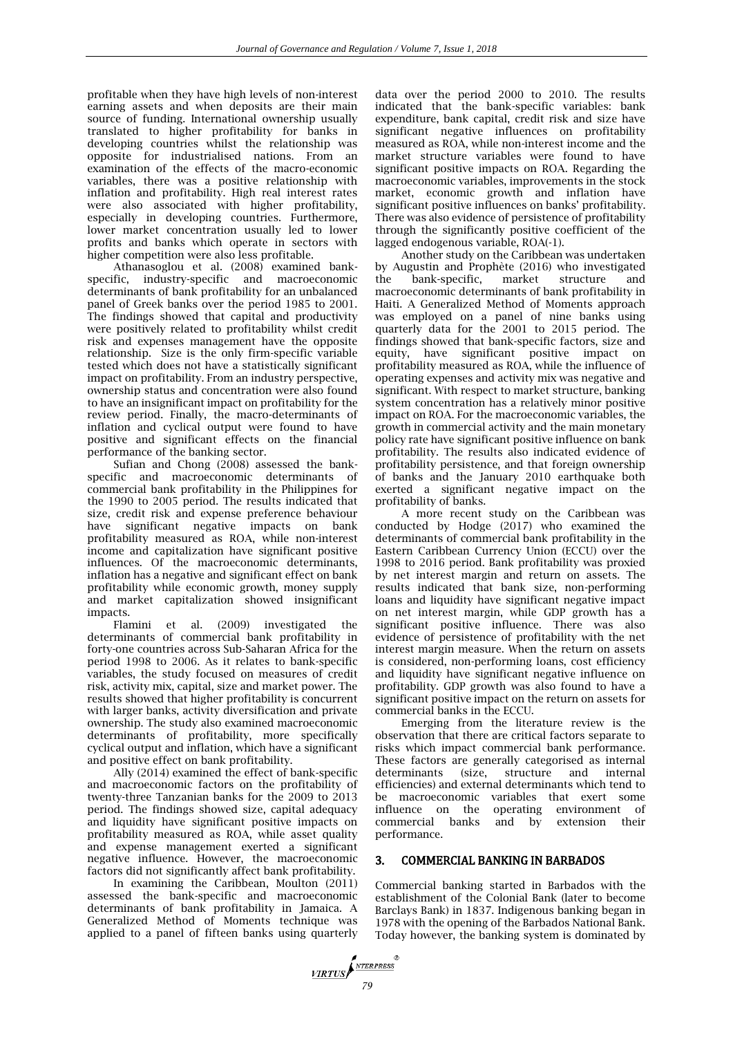profitable when they have high levels of non-interest earning assets and when deposits are their main source of funding. International ownership usually translated to higher profitability for banks in developing countries whilst the relationship was opposite for industrialised nations. From an examination of the effects of the macro-economic variables, there was a positive relationship with inflation and profitability. High real interest rates were also associated with higher profitability, especially in developing countries. Furthermore, lower market concentration usually led to lower profits and banks which operate in sectors with higher competition were also less profitable.

Athanasoglou et al. (2008) examined bankspecific, industry-specific and macroeconomic determinants of bank profitability for an unbalanced panel of Greek banks over the period 1985 to 2001. The findings showed that capital and productivity were positively related to profitability whilst credit risk and expenses management have the opposite relationship. Size is the only firm-specific variable tested which does not have a statistically significant impact on profitability. From an industry perspective, ownership status and concentration were also found to have an insignificant impact on profitability for the review period. Finally, the macro-determinants of inflation and cyclical output were found to have positive and significant effects on the financial performance of the banking sector.

Sufian and Chong (2008) assessed the bankspecific and macroeconomic determinants of commercial bank profitability in the Philippines for the 1990 to 2005 period. The results indicated that size, credit risk and expense preference behaviour have significant negative impacts on bank profitability measured as ROA, while non-interest income and capitalization have significant positive influences. Of the macroeconomic determinants, inflation has a negative and significant effect on bank profitability while economic growth, money supply and market capitalization showed insignificant impacts.

Flamini et al. (2009) investigated the determinants of commercial bank profitability in forty-one countries across Sub-Saharan Africa for the period 1998 to 2006. As it relates to bank-specific variables, the study focused on measures of credit risk, activity mix, capital, size and market power. The results showed that higher profitability is concurrent with larger banks, activity diversification and private ownership. The study also examined macroeconomic determinants of profitability, more specifically cyclical output and inflation, which have a significant and positive effect on bank profitability.

Ally (2014) examined the effect of bank-specific and macroeconomic factors on the profitability of twenty-three Tanzanian banks for the 2009 to 2013 period. The findings showed size, capital adequacy and liquidity have significant positive impacts on profitability measured as ROA, while asset quality and expense management exerted a significant negative influence. However, the macroeconomic factors did not significantly affect bank profitability.

In examining the Caribbean, Moulton (2011) assessed the bank-specific and macroeconomic determinants of bank profitability in Jamaica. A Generalized Method of Moments technique was applied to a panel of fifteen banks using quarterly

data over the period 2000 to 2010. The results indicated that the bank-specific variables: bank expenditure, bank capital, credit risk and size have significant negative influences on profitability measured as ROA, while non-interest income and the market structure variables were found to have significant positive impacts on ROA. Regarding the macroeconomic variables, improvements in the stock market, economic growth and inflation have significant positive influences on banks' profitability. There was also evidence of persistence of profitability through the significantly positive coefficient of the lagged endogenous variable, ROA(-1).

Another study on the Caribbean was undertaken by Augustin and Prophète (2016) who investigated the bank-specific, market structure and macroeconomic determinants of bank profitability in Haiti. A Generalized Method of Moments approach was employed on a panel of nine banks using quarterly data for the 2001 to 2015 period. The findings showed that bank-specific factors, size and equity, have significant positive impact on profitability measured as ROA, while the influence of operating expenses and activity mix was negative and significant. With respect to market structure, banking system concentration has a relatively minor positive impact on ROA. For the macroeconomic variables, the growth in commercial activity and the main monetary policy rate have significant positive influence on bank profitability. The results also indicated evidence of profitability persistence, and that foreign ownership of banks and the January 2010 earthquake both exerted a significant negative impact on the profitability of banks.

A more recent study on the Caribbean was conducted by Hodge (2017) who examined the determinants of commercial bank profitability in the Eastern Caribbean Currency Union (ECCU) over the 1998 to 2016 period. Bank profitability was proxied by net interest margin and return on assets. The results indicated that bank size, non-performing loans and liquidity have significant negative impact on net interest margin, while GDP growth has a significant positive influence. There was also evidence of persistence of profitability with the net interest margin measure. When the return on assets is considered, non-performing loans, cost efficiency and liquidity have significant negative influence on profitability. GDP growth was also found to have a significant positive impact on the return on assets for commercial banks in the ECCU.

Emerging from the literature review is the observation that there are critical factors separate to risks which impact commercial bank performance. These factors are generally categorised as internal determinants (size, structure and internal efficiencies) and external determinants which tend to be macroeconomic variables that exert some influence on the operating environment of commercial banks and by extension their performance.

# 3. COMMERCIAL BANKING IN BARBADOS

Commercial banking started in Barbados with the establishment of the Colonial Bank (later to become Barclays Bank) in 1837. Indigenous banking began in 1978 with the opening of the Barbados National Bank. Today however, the banking system is dominated by

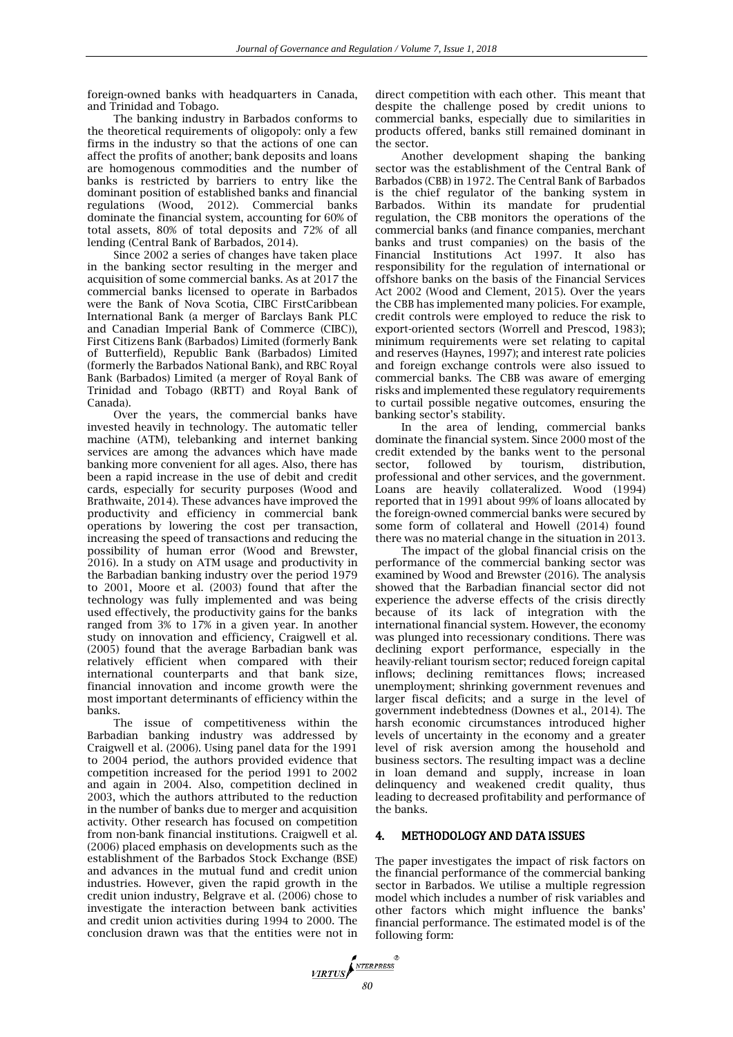foreign-owned banks with headquarters in Canada, and Trinidad and Tobago.

The banking industry in Barbados conforms to the theoretical requirements of oligopoly: only a few firms in the industry so that the actions of one can affect the profits of another; bank deposits and loans are homogenous commodities and the number of banks is restricted by barriers to entry like the dominant position of established banks and financial regulations (Wood, 2012). Commercial banks dominate the financial system, accounting for 60% of total assets, 80% of total deposits and 72% of all lending (Central Bank of Barbados, 2014).

Since 2002 a series of changes have taken place in the banking sector resulting in the merger and acquisition of some commercial banks. As at 2017 the commercial banks licensed to operate in Barbados were the Bank of Nova Scotia, CIBC FirstCaribbean International Bank (a merger of Barclays Bank PLC and Canadian Imperial Bank of Commerce (CIBC)), First Citizens Bank (Barbados) Limited (formerly Bank of Butterfield), Republic Bank (Barbados) Limited (formerly the Barbados National Bank), and RBC Royal Bank (Barbados) Limited (a merger of Royal Bank of Trinidad and Tobago (RBTT) and Royal Bank of Canada).

Over the years, the commercial banks have invested heavily in technology. The automatic teller machine (ATM), telebanking and internet banking services are among the advances which have made banking more convenient for all ages. Also, there has been a rapid increase in the use of debit and credit cards, especially for security purposes (Wood and Brathwaite, 2014). These advances have improved the productivity and efficiency in commercial bank operations by lowering the cost per transaction, increasing the speed of transactions and reducing the possibility of human error (Wood and Brewster, 2016). In a study on ATM usage and productivity in the Barbadian banking industry over the period 1979 to 2001, Moore et al. (2003) found that after the technology was fully implemented and was being used effectively, the productivity gains for the banks ranged from 3% to 17% in a given year. In another study on innovation and efficiency, Craigwell et al. (2005) found that the average Barbadian bank was relatively efficient when compared with their international counterparts and that bank size, financial innovation and income growth were the most important determinants of efficiency within the banks.

The issue of competitiveness within the Barbadian banking industry was addressed by Craigwell et al. (2006). Using panel data for the 1991 to 2004 period, the authors provided evidence that competition increased for the period 1991 to 2002 and again in 2004. Also, competition declined in 2003, which the authors attributed to the reduction in the number of banks due to merger and acquisition activity. Other research has focused on competition from non-bank financial institutions. Craigwell et al. (2006) placed emphasis on developments such as the establishment of the Barbados Stock Exchange (BSE) and advances in the mutual fund and credit union industries. However, given the rapid growth in the credit union industry, Belgrave et al. (2006) chose to investigate the interaction between bank activities and credit union activities during 1994 to 2000. The conclusion drawn was that the entities were not in direct competition with each other. This meant that despite the challenge posed by credit unions to commercial banks, especially due to similarities in products offered, banks still remained dominant in the sector.

Another development shaping the banking sector was the establishment of the Central Bank of Barbados (CBB) in 1972. The Central Bank of Barbados is the chief regulator of the banking system in Barbados. Within its mandate for prudential regulation, the CBB monitors the operations of the commercial banks (and finance companies, merchant banks and trust companies) on the basis of the Financial Institutions Act 1997. It also has responsibility for the regulation of international or offshore banks on the basis of the Financial Services Act 2002 (Wood and Clement, 2015). Over the years the CBB has implemented many policies. For example, credit controls were employed to reduce the risk to export-oriented sectors (Worrell and Prescod, 1983); minimum requirements were set relating to capital and reserves (Haynes, 1997); and interest rate policies and foreign exchange controls were also issued to commercial banks. The CBB was aware of emerging risks and implemented these regulatory requirements to curtail possible negative outcomes, ensuring the banking sector's stability.

In the area of lending, commercial banks dominate the financial system. Since 2000 most of the credit extended by the banks went to the personal sector, followed by tourism, distribution, sector, followed by tourism, distribution, professional and other services, and the government. Loans are heavily collateralized. Wood (1994) reported that in 1991 about 99% of loans allocated by the foreign-owned commercial banks were secured by some form of collateral and Howell (2014) found there was no material change in the situation in 2013.

The impact of the global financial crisis on the performance of the commercial banking sector was examined by Wood and Brewster (2016). The analysis showed that the Barbadian financial sector did not experience the adverse effects of the crisis directly because of its lack of integration with the international financial system. However, the economy was plunged into recessionary conditions. There was declining export performance, especially in the heavily-reliant tourism sector; reduced foreign capital inflows; declining remittances flows; increased unemployment; shrinking government revenues and larger fiscal deficits; and a surge in the level of government indebtedness (Downes et al., 2014). The harsh economic circumstances introduced higher levels of uncertainty in the economy and a greater level of risk aversion among the household and business sectors. The resulting impact was a decline in loan demand and supply, increase in loan delinquency and weakened credit quality, thus leading to decreased profitability and performance of the banks.

# 4. METHODOLOGY AND DATA ISSUES

The paper investigates the impact of risk factors on the financial performance of the commercial banking sector in Barbados. We utilise a multiple regression model which includes a number of risk variables and other factors which might influence the banks' financial performance. The estimated model is of the following form:

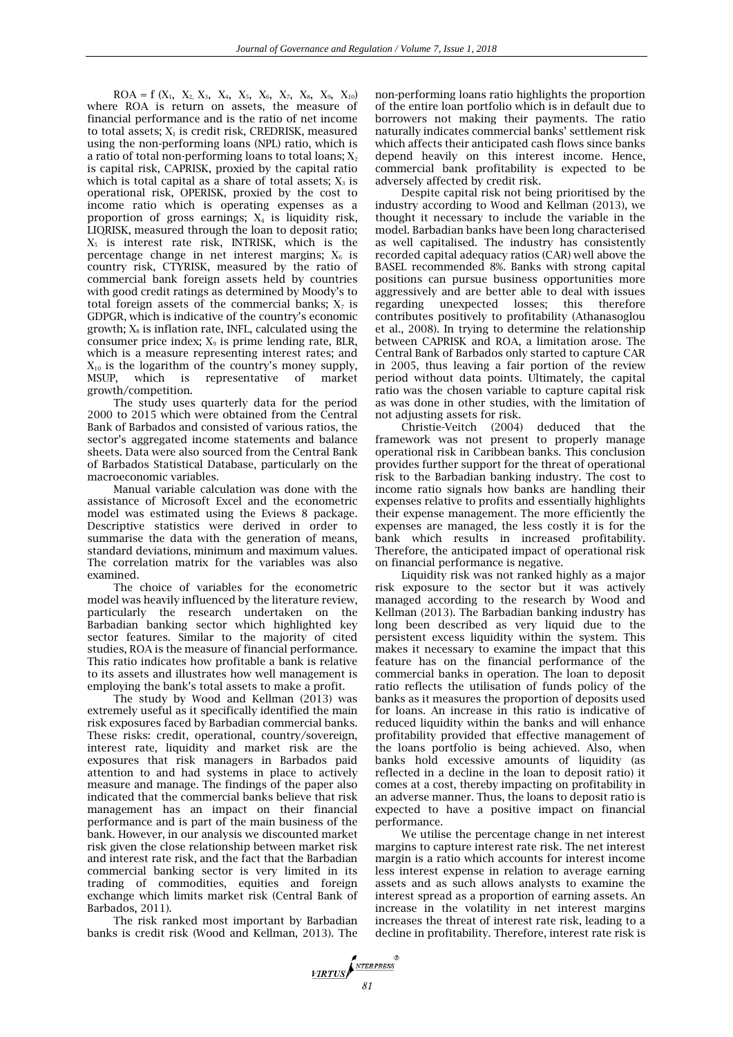$ROA = f (X_1, X_2, X_3, X_4, X_5, X_6, X_7, X_8, X_9, X_{10})$ where ROA is return on assets, the measure of financial performance and is the ratio of net income to total assets;  $X_1$  is credit risk, CREDRISK, measured using the non-performing loans (NPL) ratio, which is a ratio of total non-performing loans to total loans;  $X_2$ is capital risk, CAPRISK, proxied by the capital ratio which is total capital as a share of total assets;  $X_3$  is operational risk, OPERISK, proxied by the cost to income ratio which is operating expenses as a proportion of gross earnings;  $X_4$  is liquidity risk, LIQRISK, measured through the loan to deposit ratio;  $X_5$  is interest rate risk, INTRISK, which is the percentage change in net interest margins;  $X_6$  is country risk, CTYRISK, measured by the ratio of commercial bank foreign assets held by countries with good credit ratings as determined by Moody's to total foreign assets of the commercial banks;  $X_7$  is GDPGR, which is indicative of the country's economic growth;  $X_8$  is inflation rate, INFL, calculated using the consumer price index;  $X_9$  is prime lending rate, BLR, which is a measure representing interest rates; and  $X_{10}$  is the logarithm of the country's money supply, MSUP, which is representative of market growth/competition.

The study uses quarterly data for the period 2000 to 2015 which were obtained from the Central Bank of Barbados and consisted of various ratios, the sector's aggregated income statements and balance sheets. Data were also sourced from the Central Bank of Barbados Statistical Database, particularly on the macroeconomic variables.

Manual variable calculation was done with the assistance of Microsoft Excel and the econometric model was estimated using the Eviews 8 package. Descriptive statistics were derived in order to summarise the data with the generation of means, standard deviations, minimum and maximum values. The correlation matrix for the variables was also examined.

The choice of variables for the econometric model was heavily influenced by the literature review, particularly the research undertaken on the Barbadian banking sector which highlighted key sector features. Similar to the majority of cited studies, ROA is the measure of financial performance. This ratio indicates how profitable a bank is relative to its assets and illustrates how well management is employing the bank's total assets to make a profit.

The study by Wood and Kellman (2013) was extremely useful as it specifically identified the main risk exposures faced by Barbadian commercial banks. These risks: credit, operational, country/sovereign, interest rate, liquidity and market risk are the exposures that risk managers in Barbados paid attention to and had systems in place to actively measure and manage. The findings of the paper also indicated that the commercial banks believe that risk management has an impact on their financial performance and is part of the main business of the bank. However, in our analysis we discounted market risk given the close relationship between market risk and interest rate risk, and the fact that the Barbadian commercial banking sector is very limited in its trading of commodities, equities and foreign exchange which limits market risk (Central Bank of Barbados, 2011).

The risk ranked most important by Barbadian banks is credit risk (Wood and Kellman, 2013). The non-performing loans ratio highlights the proportion of the entire loan portfolio which is in default due to borrowers not making their payments. The ratio naturally indicates commercial banks' settlement risk which affects their anticipated cash flows since banks depend heavily on this interest income. Hence, commercial bank profitability is expected to be adversely affected by credit risk.

Despite capital risk not being prioritised by the industry according to Wood and Kellman (2013), we thought it necessary to include the variable in the model. Barbadian banks have been long characterised as well capitalised. The industry has consistently recorded capital adequacy ratios (CAR) well above the BASEL recommended 8%. Banks with strong capital positions can pursue business opportunities more aggressively and are better able to deal with issues regarding unexpected losses; this therefore contributes positively to profitability (Athanasoglou et al., 2008). In trying to determine the relationship between CAPRISK and ROA, a limitation arose. The Central Bank of Barbados only started to capture CAR in 2005, thus leaving a fair portion of the review period without data points. Ultimately, the capital ratio was the chosen variable to capture capital risk as was done in other studies, with the limitation of not adjusting assets for risk.

Christie-Veitch (2004) deduced that the framework was not present to properly manage operational risk in Caribbean banks. This conclusion provides further support for the threat of operational risk to the Barbadian banking industry. The cost to income ratio signals how banks are handling their expenses relative to profits and essentially highlights their expense management. The more efficiently the expenses are managed, the less costly it is for the bank which results in increased profitability. Therefore, the anticipated impact of operational risk on financial performance is negative.

Liquidity risk was not ranked highly as a major risk exposure to the sector but it was actively managed according to the research by Wood and Kellman (2013). The Barbadian banking industry has long been described as very liquid due to the persistent excess liquidity within the system. This makes it necessary to examine the impact that this feature has on the financial performance of the commercial banks in operation. The loan to deposit ratio reflects the utilisation of funds policy of the banks as it measures the proportion of deposits used for loans. An increase in this ratio is indicative of reduced liquidity within the banks and will enhance profitability provided that effective management of the loans portfolio is being achieved. Also, when banks hold excessive amounts of liquidity (as reflected in a decline in the loan to deposit ratio) it comes at a cost, thereby impacting on profitability in an adverse manner. Thus, the loans to deposit ratio is expected to have a positive impact on financial performance.

We utilise the percentage change in net interest margins to capture interest rate risk. The net interest margin is a ratio which accounts for interest income less interest expense in relation to average earning assets and as such allows analysts to examine the interest spread as a proportion of earning assets. An increase in the volatility in net interest margins increases the threat of interest rate risk, leading to a decline in profitability. Therefore, interest rate risk is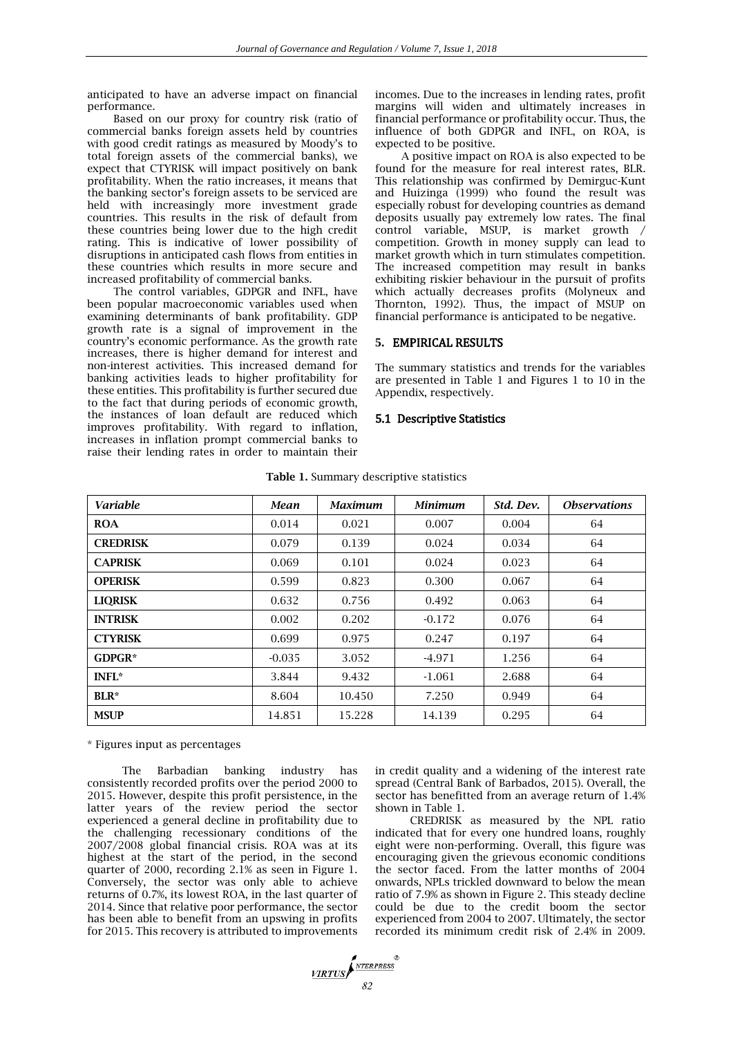anticipated to have an adverse impact on financial performance.

Based on our proxy for country risk (ratio of commercial banks foreign assets held by countries with good credit ratings as measured by Moody's to total foreign assets of the commercial banks), we expect that CTYRISK will impact positively on bank profitability. When the ratio increases, it means that the banking sector's foreign assets to be serviced are held with increasingly more investment grade countries. This results in the risk of default from these countries being lower due to the high credit rating. This is indicative of lower possibility of disruptions in anticipated cash flows from entities in these countries which results in more secure and increased profitability of commercial banks.

The control variables, GDPGR and INFL, have been popular macroeconomic variables used when examining determinants of bank profitability. GDP growth rate is a signal of improvement in the country's economic performance. As the growth rate increases, there is higher demand for interest and non-interest activities. This increased demand for banking activities leads to higher profitability for these entities. This profitability is further secured due to the fact that during periods of economic growth, the instances of loan default are reduced which improves profitability. With regard to inflation, increases in inflation prompt commercial banks to raise their lending rates in order to maintain their

incomes. Due to the increases in lending rates, profit margins will widen and ultimately increases in financial performance or profitability occur. Thus, the influence of both GDPGR and INFL, on ROA, is expected to be positive.

A positive impact on ROA is also expected to be found for the measure for real interest rates, BLR. This relationship was confirmed by Demirguc-Kunt and Huizinga (1999) who found the result was especially robust for developing countries as demand deposits usually pay extremely low rates. The final control variable, MSUP, is market growth / competition. Growth in money supply can lead to market growth which in turn stimulates competition. The increased competition may result in banks exhibiting riskier behaviour in the pursuit of profits which actually decreases profits (Molyneux and Thornton, 1992). Thus, the impact of MSUP on financial performance is anticipated to be negative.

#### **5.** EMPIRICAL RESULTS

The summary statistics and trends for the variables are presented in Table 1 and Figures 1 to 10 in the Appendix, respectively.

#### 5.1 Descriptive Statistics

| <b>Variable</b> | Mean     | <b>Maximum</b> | <b>Minimum</b> | Std. Dev. | <i><b>Observations</b></i> |
|-----------------|----------|----------------|----------------|-----------|----------------------------|
| <b>ROA</b>      | 0.014    | 0.021          | 0.007          | 0.004     | 64                         |
| <b>CREDRISK</b> | 0.079    | 0.139          | 0.024          | 0.034     | 64                         |
| <b>CAPRISK</b>  | 0.069    | 0.101          | 0.024          | 0.023     | 64                         |
| <b>OPERISK</b>  | 0.599    | 0.823          | 0.300          | 0.067     | 64                         |
| <b>LIQRISK</b>  | 0.632    | 0.756          | 0.492          | 0.063     | 64                         |
| <b>INTRISK</b>  | 0.002    | 0.202          | $-0.172$       | 0.076     | 64                         |
| <b>CTYRISK</b>  | 0.699    | 0.975          | 0.247          | 0.197     | 64                         |
| $GDPGR*$        | $-0.035$ | 3.052          | $-4.971$       | 1.256     | 64                         |
| <b>INFL*</b>    | 3.844    | 9.432          | $-1.061$       | 2.688     | 64                         |
| BLR*            | 8.604    | 10.450         | 7.250          | 0.949     | 64                         |
| <b>MSUP</b>     | 14.851   | 15.228         | 14.139         | 0.295     | 64                         |

#### **Table 1.** Summary descriptive statistics

\* Figures input as percentages

The Barbadian banking industry has consistently recorded profits over the period 2000 to 2015. However, despite this profit persistence, in the latter years of the review period the sector experienced a general decline in profitability due to the challenging recessionary conditions of the 2007/2008 global financial crisis. ROA was at its highest at the start of the period, in the second quarter of 2000, recording 2.1% as seen in Figure 1. Conversely, the sector was only able to achieve returns of 0.7%, its lowest ROA, in the last quarter of 2014. Since that relative poor performance, the sector has been able to benefit from an upswing in profits for 2015. This recovery is attributed to improvements in credit quality and a widening of the interest rate spread (Central Bank of Barbados, 2015). Overall, the sector has benefitted from an average return of 1.4% shown in Table 1.

CREDRISK as measured by the NPL ratio indicated that for every one hundred loans, roughly eight were non-performing. Overall, this figure was encouraging given the grievous economic conditions the sector faced. From the latter months of 2004 onwards, NPLs trickled downward to below the mean ratio of 7.9% as shown in Figure 2. This steady decline could be due to the credit boom the sector experienced from 2004 to 2007. Ultimately, the sector recorded its minimum credit risk of 2.4% in 2009.

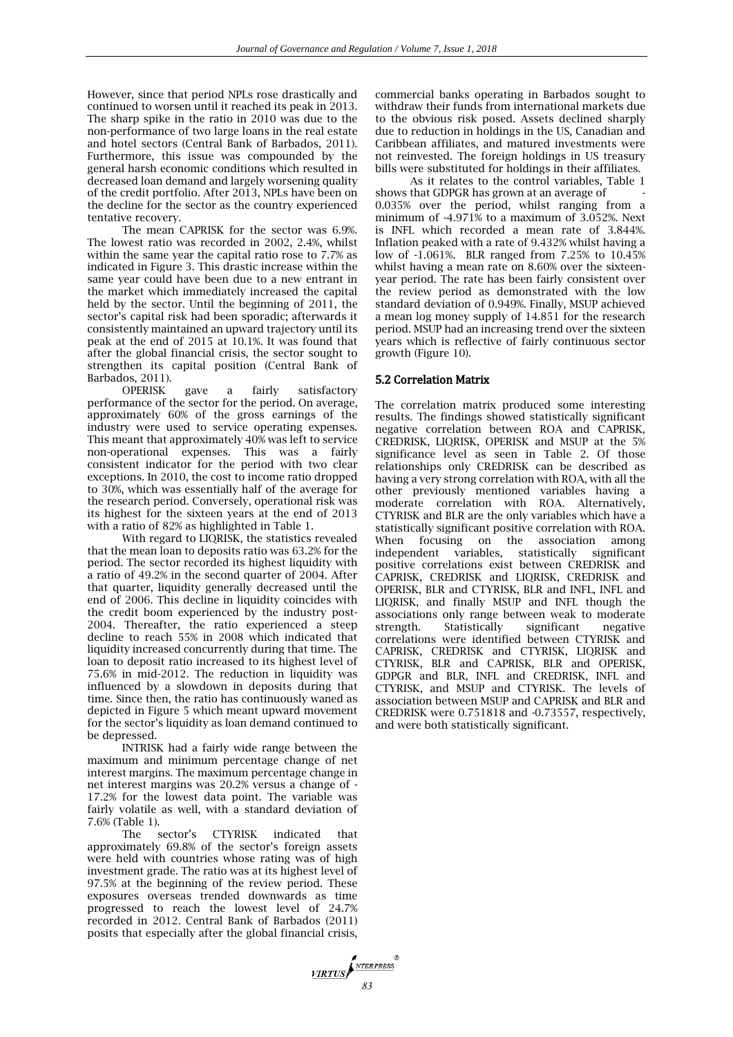However, since that period NPLs rose drastically and continued to worsen until it reached its peak in 2013. The sharp spike in the ratio in 2010 was due to the non-performance of two large loans in the real estate and hotel sectors (Central Bank of Barbados, 2011). Furthermore, this issue was compounded by the general harsh economic conditions which resulted in decreased loan demand and largely worsening quality of the credit portfolio. After 2013, NPLs have been on the decline for the sector as the country experienced tentative recovery.

The mean CAPRISK for the sector was 6.9%. The lowest ratio was recorded in 2002, 2.4%, whilst within the same year the capital ratio rose to 7.7% as indicated in Figure 3. This drastic increase within the same year could have been due to a new entrant in the market which immediately increased the capital held by the sector. Until the beginning of 2011, the sector's capital risk had been sporadic; afterwards it consistently maintained an upward trajectory until its peak at the end of 2015 at 10.1%. It was found that after the global financial crisis, the sector sought to strengthen its capital position (Central Bank of Barbados, 2011).

OPERISK gave a fairly satisfactory performance of the sector for the period. On average, approximately 60% of the gross earnings of the industry were used to service operating expenses. This meant that approximately 40% was left to service non-operational expenses. This was a fairly consistent indicator for the period with two clear exceptions. In 2010, the cost to income ratio dropped to 30%, which was essentially half of the average for the research period. Conversely, operational risk was its highest for the sixteen years at the end of 2013 with a ratio of 82% as highlighted in Table 1.

With regard to LIQRISK, the statistics revealed that the mean loan to deposits ratio was 63.2% for the period. The sector recorded its highest liquidity with a ratio of 49.2% in the second quarter of 2004. After that quarter, liquidity generally decreased until the end of 2006. This decline in liquidity coincides with the credit boom experienced by the industry post-2004. Thereafter, the ratio experienced a steep decline to reach 55% in 2008 which indicated that liquidity increased concurrently during that time. The loan to deposit ratio increased to its highest level of 75.6% in mid-2012. The reduction in liquidity was influenced by a slowdown in deposits during that time. Since then, the ratio has continuously waned as depicted in Figure 5 which meant upward movement for the sector's liquidity as loan demand continued to be depressed.

INTRISK had a fairly wide range between the maximum and minimum percentage change of net interest margins. The maximum percentage change in net interest margins was 20.2% versus a change of - 17.2% for the lowest data point. The variable was fairly volatile as well, with a standard deviation of 7.6% (Table 1).

The sector's CTYRISK indicated that approximately 69.8% of the sector's foreign assets were held with countries whose rating was of high investment grade. The ratio was at its highest level of 97.5% at the beginning of the review period. These exposures overseas trended downwards as time progressed to reach the lowest level of 24.7% recorded in 2012. Central Bank of Barbados (2011) posits that especially after the global financial crisis,

commercial banks operating in Barbados sought to withdraw their funds from international markets due to the obvious risk posed. Assets declined sharply due to reduction in holdings in the US, Canadian and Caribbean affiliates, and matured investments were not reinvested. The foreign holdings in US treasury bills were substituted for holdings in their affiliates.

As it relates to the control variables, Table 1 shows that GDPGR has grown at an average of 0.035% over the period, whilst ranging from a minimum of -4.971% to a maximum of 3.052%. Next is INFL which recorded a mean rate of 3.844%. Inflation peaked with a rate of 9.432% whilst having a low of -1.061%. BLR ranged from 7.25% to 10.45% whilst having a mean rate on 8.60% over the sixteenyear period. The rate has been fairly consistent over the review period as demonstrated with the low standard deviation of 0.949%. Finally, MSUP achieved a mean log money supply of 14.851 for the research period. MSUP had an increasing trend over the sixteen years which is reflective of fairly continuous sector growth (Figure 10).

# 5.2 Correlation Matrix

The correlation matrix produced some interesting results. The findings showed statistically significant negative correlation between ROA and CAPRISK, CREDRISK, LIQRISK, OPERISK and MSUP at the 5% significance level as seen in Table 2. Of those relationships only CREDRISK can be described as having a very strong correlation with ROA, with all the other previously mentioned variables having a moderate correlation with ROA. Alternatively, CTYRISK and BLR are the only variables which have a statistically significant positive correlation with ROA. When focusing on the association among independent variables, statistically significant positive correlations exist between CREDRISK and CAPRISK, CREDRISK and LIQRISK, CREDRISK and OPERISK, BLR and CTYRISK, BLR and INFL, INFL and LIQRISK, and finally MSUP and INFL though the associations only range between weak to moderate strength. Statistically significant negative correlations were identified between CTYRISK and CAPRISK, CREDRISK and CTYRISK, LIQRISK and CTYRISK, BLR and CAPRISK, BLR and OPERISK, GDPGR and BLR, INFL and CREDRISK, INFL and CTYRISK, and MSUP and CTYRISK. The levels of association between MSUP and CAPRISK and BLR and CREDRISK were 0.751818 and -0.73557, respectively, and were both statistically significant.

*MRTUS 83*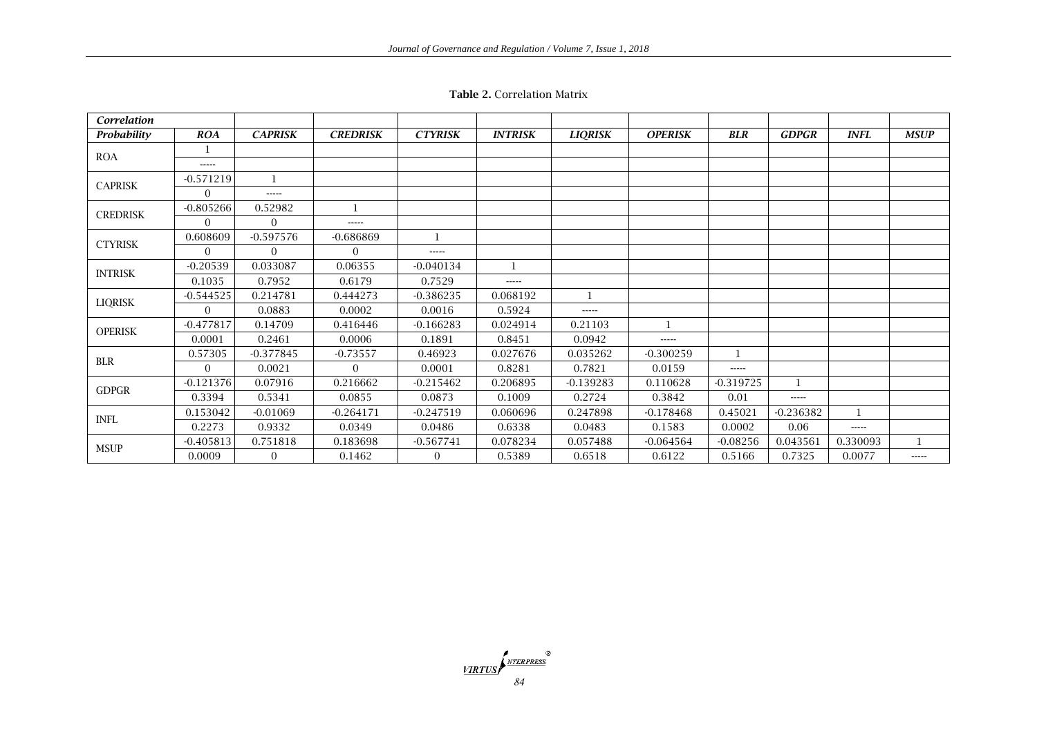|  | <b>Table 2. Correlation Matrix</b> |  |
|--|------------------------------------|--|
|--|------------------------------------|--|

| Correlation     |                |                |                 |                |                |                |                |             |              |             |             |
|-----------------|----------------|----------------|-----------------|----------------|----------------|----------------|----------------|-------------|--------------|-------------|-------------|
| Probability     | <b>ROA</b>     | <b>CAPRISK</b> | <b>CREDRISK</b> | <b>CTYRISK</b> | <b>INTRISK</b> | <b>LIQRISK</b> | <b>OPERISK</b> | <b>BLR</b>  | <b>GDPGR</b> | <b>INFL</b> | <b>MSUP</b> |
| <b>ROA</b>      | $\mathbf 1$    |                |                 |                |                |                |                |             |              |             |             |
|                 | $- - - - -$    |                |                 |                |                |                |                |             |              |             |             |
| <b>CAPRISK</b>  | $-0.571219$    |                |                 |                |                |                |                |             |              |             |             |
|                 | $\Omega$       | $- - - - -$    |                 |                |                |                |                |             |              |             |             |
|                 | $-0.805266$    | 0.52982        |                 |                |                |                |                |             |              |             |             |
| <b>CREDRISK</b> | $\Omega$       | $\Omega$       | -----           |                |                |                |                |             |              |             |             |
|                 | 0.608609       | $-0.597576$    | $-0.686869$     | $\mathbf{1}$   |                |                |                |             |              |             |             |
| <b>CTYRISK</b>  | $\overline{0}$ | $\overline{0}$ | $\overline{0}$  | -----          |                |                |                |             |              |             |             |
| <b>INTRISK</b>  | $-0.20539$     | 0.033087       | 0.06355         | $-0.040134$    | $\mathbf{1}$   |                |                |             |              |             |             |
|                 | 0.1035         | 0.7952         | 0.6179          | 0.7529         | -----          |                |                |             |              |             |             |
|                 | $-0.544525$    | 0.214781       | 0.444273        | $-0.386235$    | 0.068192       |                |                |             |              |             |             |
| <b>LIQRISK</b>  | $\Omega$       | 0.0883         | 0.0002          | 0.0016         | 0.5924         | $- - - - -$    |                |             |              |             |             |
| <b>OPERISK</b>  | $-0.477817$    | 0.14709        | 0.416446        | $-0.166283$    | 0.024914       | 0.21103        | 1              |             |              |             |             |
|                 | 0.0001         | 0.2461         | 0.0006          | 0.1891         | 0.8451         | 0.0942         | -----          |             |              |             |             |
| <b>BLR</b>      | 0.57305        | $-0.377845$    | $-0.73557$      | 0.46923        | 0.027676       | 0.035262       | $-0.300259$    |             |              |             |             |
|                 | $\Omega$       | 0.0021         | $\Omega$        | 0.0001         | 0.8281         | 0.7821         | 0.0159         | -----       |              |             |             |
| <b>GDPGR</b>    | $-0.121376$    | 0.07916        | 0.216662        | $-0.215462$    | 0.206895       | $-0.139283$    | 0.110628       | $-0.319725$ | 1            |             |             |
|                 | 0.3394         | 0.5341         | 0.0855          | 0.0873         | 0.1009         | 0.2724         | 0.3842         | 0.01        | $- - - - -$  |             |             |
| INFL            | 0.153042       | $-0.01069$     | $-0.264171$     | $-0.247519$    | 0.060696       | 0.247898       | $-0.178468$    | 0.45021     | $-0.236382$  |             |             |
|                 | 0.2273         | 0.9332         | 0.0349          | 0.0486         | 0.6338         | 0.0483         | 0.1583         | 0.0002      | 0.06         | -----       |             |
| <b>MSUP</b>     | $-0.405813$    | 0.751818       | 0.183698        | $-0.567741$    | 0.078234       | 0.057488       | $-0.064564$    | $-0.08256$  | 0.043561     | 0.330093    |             |
|                 | 0.0009         | $\overline{0}$ | 0.1462          | $\overline{0}$ | 0.5389         | 0.6518         | 0.6122         | 0.5166      | 0.7325       | 0.0077      | -----       |

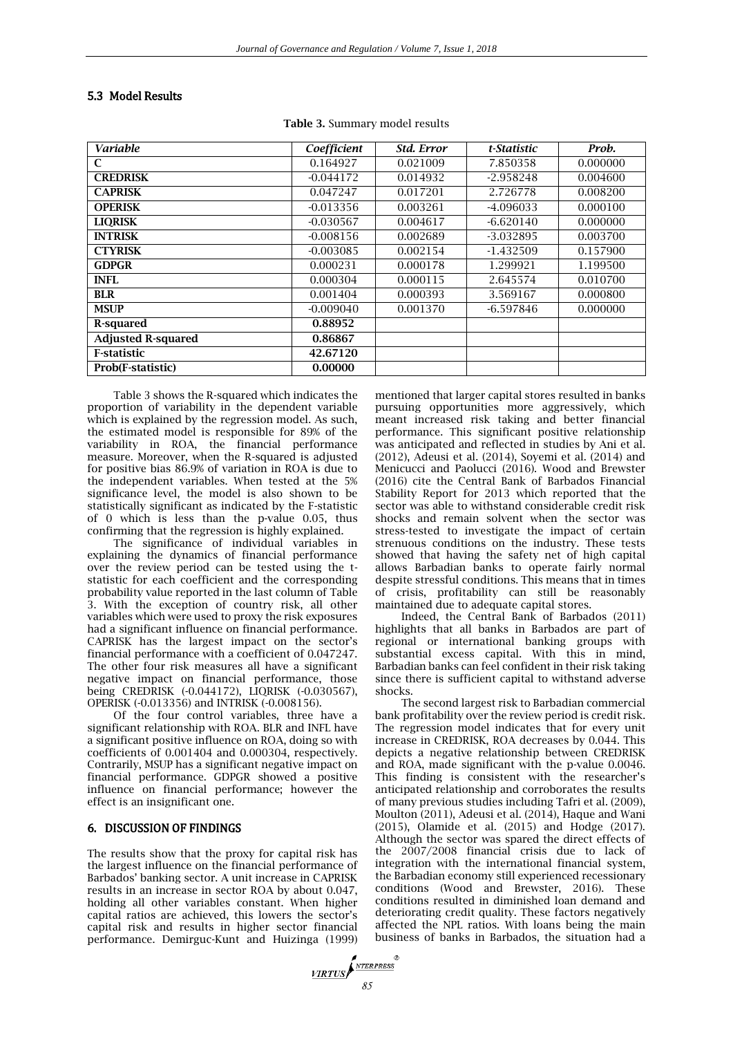# 5.3 Model Results

**Table 3.** Summary model results

| <b>Variable</b>           | Coefficient | Std. Error | t-Statistic | Prob.    |
|---------------------------|-------------|------------|-------------|----------|
| C                         | 0.164927    | 0.021009   | 7.850358    | 0.000000 |
| <b>CREDRISK</b>           | $-0.044172$ | 0.014932   | $-2.958248$ | 0.004600 |
| <b>CAPRISK</b>            | 0.047247    | 0.017201   | 2.726778    | 0.008200 |
| <b>OPERISK</b>            | $-0.013356$ | 0.003261   | $-4.096033$ | 0.000100 |
| <b>LIQRISK</b>            | $-0.030567$ | 0.004617   | $-6.620140$ | 0.000000 |
| <b>INTRISK</b>            | $-0.008156$ | 0.002689   | -3.032895   | 0.003700 |
| <b>CTYRISK</b>            | $-0.003085$ | 0.002154   | -1.432509   | 0.157900 |
| <b>GDPGR</b>              | 0.000231    | 0.000178   | 1.299921    | 1.199500 |
| <b>INFL</b>               | 0.000304    | 0.000115   | 2.645574    | 0.010700 |
| <b>BLR</b>                | 0.001404    | 0.000393   | 3.569167    | 0.000800 |
| <b>MSUP</b>               | $-0.009040$ | 0.001370   | $-6.597846$ | 0.000000 |
| R-squared                 | 0.88952     |            |             |          |
| <b>Adjusted R-squared</b> | 0.86867     |            |             |          |
| <b>F-statistic</b>        | 42.67120    |            |             |          |
| Prob(F-statistic)         | 0.00000     |            |             |          |

Table 3 shows the R-squared which indicates the proportion of variability in the dependent variable which is explained by the regression model. As such, the estimated model is responsible for 89% of the variability in ROA, the financial performance measure. Moreover, when the R-squared is adjusted for positive bias 86.9% of variation in ROA is due to the independent variables. When tested at the 5% significance level, the model is also shown to be statistically significant as indicated by the F-statistic of 0 which is less than the p-value 0.05, thus confirming that the regression is highly explained.

The significance of individual variables in explaining the dynamics of financial performance over the review period can be tested using the tstatistic for each coefficient and the corresponding probability value reported in the last column of Table 3. With the exception of country risk, all other variables which were used to proxy the risk exposures had a significant influence on financial performance. CAPRISK has the largest impact on the sector's financial performance with a coefficient of 0.047247. The other four risk measures all have a significant negative impact on financial performance, those being CREDRISK (-0.044172), LIQRISK (-0.030567), OPERISK (-0.013356) and INTRISK (-0.008156).

Of the four control variables, three have a significant relationship with ROA. BLR and INFL have a significant positive influence on ROA, doing so with coefficients of 0.001404 and 0.000304, respectively. Contrarily, MSUP has a significant negative impact on financial performance. GDPGR showed a positive influence on financial performance; however the effect is an insignificant one.

# 6. DISCUSSION OF FINDINGS

The results show that the proxy for capital risk has the largest influence on the financial performance of Barbados' banking sector. A unit increase in CAPRISK results in an increase in sector ROA by about 0.047, holding all other variables constant. When higher capital ratios are achieved, this lowers the sector's capital risk and results in higher sector financial performance. Demirguc-Kunt and Huizinga (1999) mentioned that larger capital stores resulted in banks pursuing opportunities more aggressively, which meant increased risk taking and better financial performance. This significant positive relationship was anticipated and reflected in studies by Ani et al. (2012), Adeusi et al. (2014), Soyemi et al. (2014) and Menicucci and Paolucci (2016). Wood and Brewster (2016) cite the Central Bank of Barbados Financial Stability Report for 2013 which reported that the sector was able to withstand considerable credit risk shocks and remain solvent when the sector was stress-tested to investigate the impact of certain strenuous conditions on the industry. These tests showed that having the safety net of high capital allows Barbadian banks to operate fairly normal despite stressful conditions. This means that in times of crisis, profitability can still be reasonably maintained due to adequate capital stores.

Indeed, the Central Bank of Barbados (2011) highlights that all banks in Barbados are part of regional or international banking groups with substantial excess capital. With this in mind, Barbadian banks can feel confident in their risk taking since there is sufficient capital to withstand adverse shocks.

The second largest risk to Barbadian commercial bank profitability over the review period is credit risk. The regression model indicates that for every unit increase in CREDRISK, ROA decreases by 0.044. This depicts a negative relationship between CREDRISK and ROA, made significant with the p-value 0.0046. This finding is consistent with the researcher's anticipated relationship and corroborates the results of many previous studies including Tafri et al. (2009), Moulton (2011), Adeusi et al. (2014), Haque and Wani (2015), Olamide et al. (2015) and Hodge (2017). Although the sector was spared the direct effects of the 2007/2008 financial crisis due to lack of integration with the international financial system, the Barbadian economy still experienced recessionary conditions (Wood and Brewster, 2016). These conditions resulted in diminished loan demand and deteriorating credit quality. These factors negatively affected the NPL ratios. With loans being the main business of banks in Barbados, the situation had a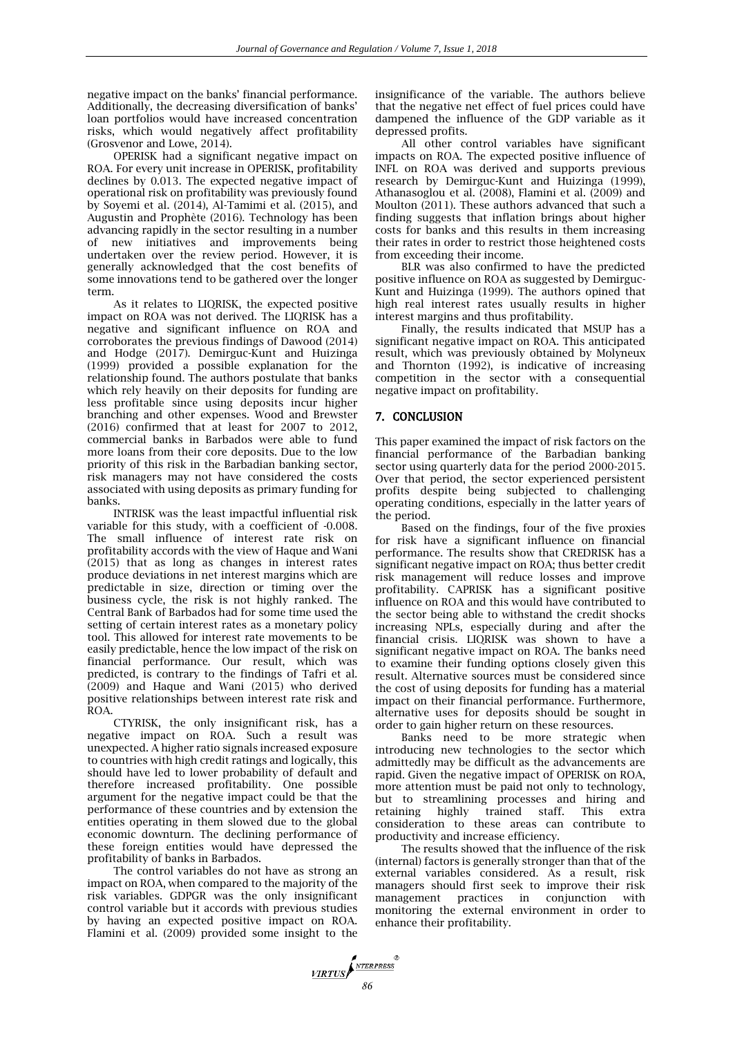negative impact on the banks' financial performance. Additionally, the decreasing diversification of banks' loan portfolios would have increased concentration risks, which would negatively affect profitability (Grosvenor and Lowe, 2014).

OPERISK had a significant negative impact on ROA. For every unit increase in OPERISK, profitability declines by 0.013. The expected negative impact of operational risk on profitability was previously found by Soyemi et al. (2014), Al-Tamimi et al. (2015), and Augustin and Prophète (2016). Technology has been advancing rapidly in the sector resulting in a number of new initiatives and improvements being undertaken over the review period. However, it is generally acknowledged that the cost benefits of some innovations tend to be gathered over the longer term.

As it relates to LIQRISK, the expected positive impact on ROA was not derived. The LIQRISK has a negative and significant influence on ROA and corroborates the previous findings of Dawood (2014) and Hodge (2017). Demirguc-Kunt and Huizinga (1999) provided a possible explanation for the relationship found. The authors postulate that banks which rely heavily on their deposits for funding are less profitable since using deposits incur higher branching and other expenses. Wood and Brewster (2016) confirmed that at least for 2007 to 2012, commercial banks in Barbados were able to fund more loans from their core deposits. Due to the low priority of this risk in the Barbadian banking sector, risk managers may not have considered the costs associated with using deposits as primary funding for banks.

INTRISK was the least impactful influential risk variable for this study, with a coefficient of -0.008. The small influence of interest rate risk on profitability accords with the view of Haque and Wani (2015) that as long as changes in interest rates produce deviations in net interest margins which are predictable in size, direction or timing over the business cycle, the risk is not highly ranked. The Central Bank of Barbados had for some time used the setting of certain interest rates as a monetary policy tool. This allowed for interest rate movements to be easily predictable, hence the low impact of the risk on financial performance. Our result, which was predicted, is contrary to the findings of Tafri et al. (2009) and Haque and Wani (2015) who derived positive relationships between interest rate risk and ROA.

CTYRISK, the only insignificant risk, has a negative impact on ROA. Such a result was unexpected. A higher ratio signals increased exposure to countries with high credit ratings and logically, this should have led to lower probability of default and therefore increased profitability. One possible argument for the negative impact could be that the performance of these countries and by extension the entities operating in them slowed due to the global economic downturn. The declining performance of these foreign entities would have depressed the profitability of banks in Barbados.

The control variables do not have as strong an impact on ROA, when compared to the majority of the risk variables. GDPGR was the only insignificant control variable but it accords with previous studies by having an expected positive impact on ROA. Flamini et al. (2009) provided some insight to the

insignificance of the variable. The authors believe that the negative net effect of fuel prices could have dampened the influence of the GDP variable as it depressed profits.

All other control variables have significant impacts on ROA. The expected positive influence of INFL on ROA was derived and supports previous research by Demirguc-Kunt and Huizinga (1999), Athanasoglou et al. (2008), Flamini et al. (2009) and Moulton (2011). These authors advanced that such a finding suggests that inflation brings about higher costs for banks and this results in them increasing their rates in order to restrict those heightened costs from exceeding their income.

BLR was also confirmed to have the predicted positive influence on ROA as suggested by Demirguc-Kunt and Huizinga (1999). The authors opined that high real interest rates usually results in higher interest margins and thus profitability.

Finally, the results indicated that MSUP has a significant negative impact on ROA. This anticipated result, which was previously obtained by Molyneux and Thornton (1992), is indicative of increasing competition in the sector with a consequential negative impact on profitability.

#### 7. CONCLUSION

This paper examined the impact of risk factors on the financial performance of the Barbadian banking sector using quarterly data for the period 2000-2015. Over that period, the sector experienced persistent profits despite being subjected to challenging operating conditions, especially in the latter years of the period.

Based on the findings, four of the five proxies for risk have a significant influence on financial performance. The results show that CREDRISK has a significant negative impact on ROA; thus better credit risk management will reduce losses and improve profitability. CAPRISK has a significant positive influence on ROA and this would have contributed to the sector being able to withstand the credit shocks increasing NPLs, especially during and after the financial crisis. LIQRISK was shown to have a significant negative impact on ROA. The banks need to examine their funding options closely given this result. Alternative sources must be considered since the cost of using deposits for funding has a material impact on their financial performance. Furthermore, alternative uses for deposits should be sought in order to gain higher return on these resources.

Banks need to be more strategic when introducing new technologies to the sector which admittedly may be difficult as the advancements are rapid. Given the negative impact of OPERISK on ROA, more attention must be paid not only to technology, but to streamlining processes and hiring and retaining highly trained staff. This extra consideration to these areas can contribute to productivity and increase efficiency.

The results showed that the influence of the risk (internal) factors is generally stronger than that of the external variables considered. As a result, risk managers should first seek to improve their risk management practices in conjunction with monitoring the external environment in order to enhance their profitability.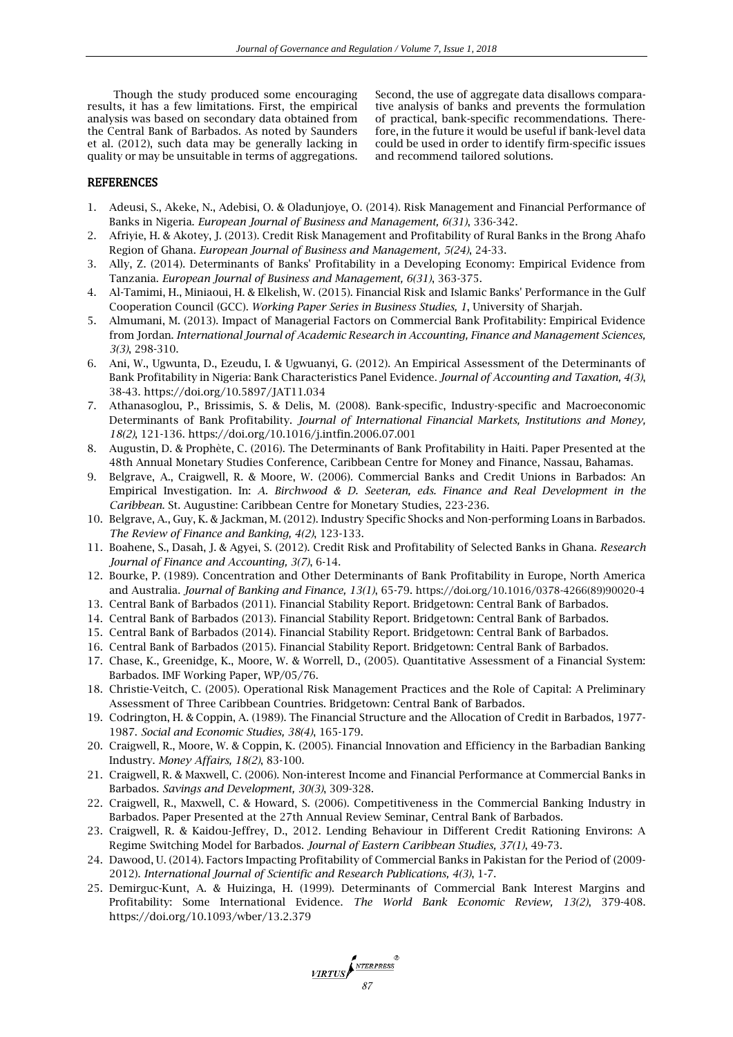Though the study produced some encouraging results, it has a few limitations. First, the empirical analysis was based on secondary data obtained from the Central Bank of Barbados. As noted by Saunders et al. (2012), such data may be generally lacking in quality or may be unsuitable in terms of aggregations.

Second, the use of aggregate data disallows comparative analysis of banks and prevents the formulation of practical, bank-specific recommendations. Therefore, in the future it would be useful if bank-level data could be used in order to identify firm-specific issues and recommend tailored solutions.

#### **REFERENCES**

- 1. Adeusi, S., Akeke, N., Adebisi, O. & Oladunjoye, O. (2014). Risk Management and Financial Performance of Banks in Nigeria. *European Journal of Business and Management, 6(31)*, 336-342.
- 2. Afriyie, H. & Akotey, J. (2013). Credit Risk Management and Profitability of Rural Banks in the Brong Ahafo Region of Ghana. *European Journal of Business and Management, 5(24)*, 24-33.
- 3. Ally, Z. (2014). Determinants of Banks' Profitability in a Developing Economy: Empirical Evidence from Tanzania. *European Journal of Business and Management, 6(31)*, 363-375.
- 4. Al-Tamimi, H., Miniaoui, H. & Elkelish, W. (2015). Financial Risk and Islamic Banks' Performance in the Gulf Cooperation Council (GCC). *Working Paper Series in Business Studies, 1*, University of Sharjah.
- 5. Almumani, M. (2013). Impact of Managerial Factors on Commercial Bank Profitability: Empirical Evidence from Jordan. *International Journal of Academic Research in Accounting, Finance and Management Sciences, 3(3)*, 298-310.
- 6. Ani, W., Ugwunta, D., Ezeudu, I. & Ugwuanyi, G. (2012). An Empirical Assessment of the Determinants of Bank Profitability in Nigeria: Bank Characteristics Panel Evidence. *Journal of Accounting and Taxation, 4(3)*, 38-43. https://doi.org/10.5897/JAT11.034
- 7. Athanasoglou, P., Brissimis, S. & Delis, M. (2008). Bank-specific, Industry-specific and Macroeconomic Determinants of Bank Profitability. *Journal of International Financial Markets, Institutions and Money, 18(2)*, 121-136. https://doi.org/10.1016/j.intfin.2006.07.001
- 8. Augustin, D. & Prophète, C. (2016). The Determinants of Bank Profitability in Haiti. Paper Presented at the 48th Annual Monetary Studies Conference, Caribbean Centre for Money and Finance, Nassau, Bahamas.
- 9. Belgrave, A., Craigwell, R. & Moore, W. (2006). Commercial Banks and Credit Unions in Barbados: An Empirical Investigation. In: *A. Birchwood & D. Seeteran, eds. Finance and Real Development in the Caribbean*. St. Augustine: Caribbean Centre for Monetary Studies, 223-236.
- 10. Belgrave, A., Guy, K. & Jackman, M. (2012). Industry Specific Shocks and Non-performing Loans in Barbados. *The Review of Finance and Banking, 4(2)*, 123-133.
- 11. Boahene, S., Dasah, J. & Agyei, S. (2012). Credit Risk and Profitability of Selected Banks in Ghana. *Research Journal of Finance and Accounting, 3(7)*, 6-14.
- 12. Bourke, P. (1989). Concentration and Other Determinants of Bank Profitability in Europe, North America and Australia. *Journal of Banking and Finance, 13(1)*, 65-79. https://doi.org/10.1016/0378-4266(89)90020-4
- 13. Central Bank of Barbados (2011). Financial Stability Report. Bridgetown: Central Bank of Barbados.
- 14. Central Bank of Barbados (2013). Financial Stability Report. Bridgetown: Central Bank of Barbados.
- 15. Central Bank of Barbados (2014). Financial Stability Report. Bridgetown: Central Bank of Barbados.
- 16. Central Bank of Barbados (2015). Financial Stability Report. Bridgetown: Central Bank of Barbados.
- 17. Chase, K., Greenidge, K., Moore, W. & Worrell, D., (2005). Quantitative Assessment of a Financial System: Barbados. IMF Working Paper, WP/05/76.
- 18. Christie-Veitch, C. (2005). Operational Risk Management Practices and the Role of Capital: A Preliminary Assessment of Three Caribbean Countries. Bridgetown: Central Bank of Barbados.
- 19. Codrington, H. & Coppin, A. (1989). The Financial Structure and the Allocation of Credit in Barbados, 1977- 1987. *Social and Economic Studies, 38(4)*, 165-179.
- 20. Craigwell, R., Moore, W. & Coppin, K. (2005). Financial Innovation and Efficiency in the Barbadian Banking Industry. *Money Affairs, 18(2)*, 83-100.
- 21. Craigwell, R. & Maxwell, C. (2006). Non-interest Income and Financial Performance at Commercial Banks in Barbados. *Savings and Development, 30(3)*, 309-328.
- 22. Craigwell, R., Maxwell, C. & Howard, S. (2006). Competitiveness in the Commercial Banking Industry in Barbados. Paper Presented at the 27th Annual Review Seminar, Central Bank of Barbados.
- 23. Craigwell, R. & Kaidou-Jeffrey, D., 2012. Lending Behaviour in Different Credit Rationing Environs: A Regime Switching Model for Barbados. *Journal of Eastern Caribbean Studies, 37(1)*, 49-73.
- 24. Dawood, U. (2014). Factors Impacting Profitability of Commercial Banks in Pakistan for the Period of (2009- 2012). *International Journal of Scientific and Research Publications, 4(3)*, 1-7.
- 25. Demirguc-Kunt, A. & Huizinga, H. (1999). Determinants of Commercial Bank Interest Margins and Profitability: Some International Evidence. *The World Bank Economic Review, 13(2)*, 379-408. https://doi.org/10.1093/wber/13.2.379

*MRTUS*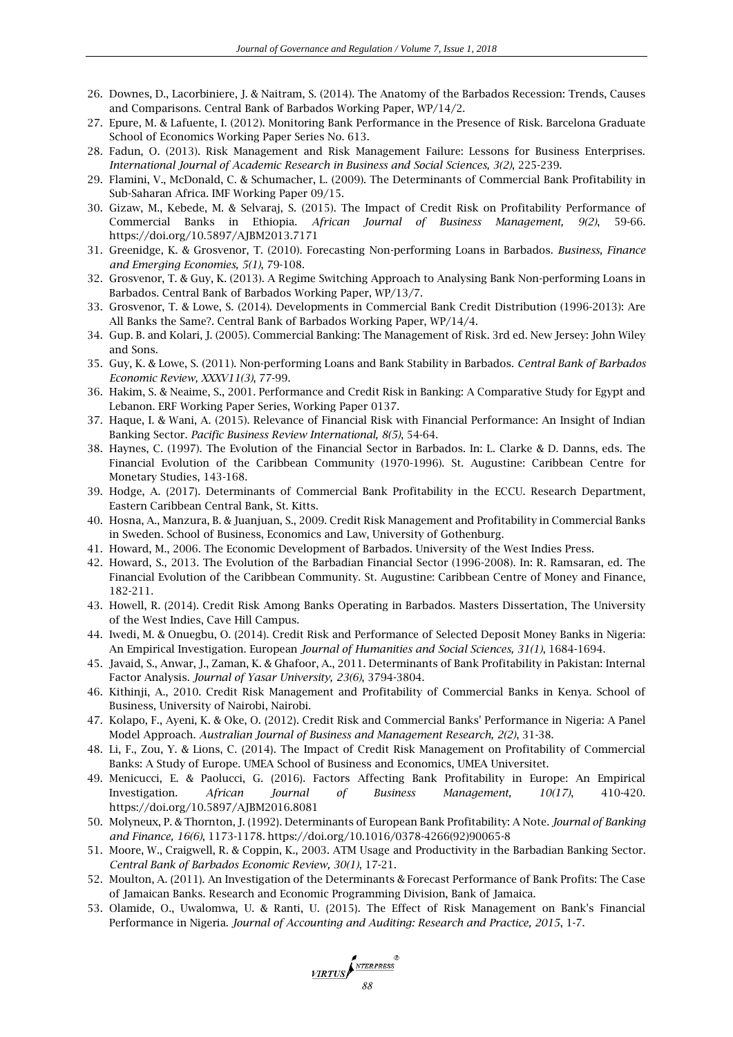- 26. Downes, D., Lacorbiniere, J. & Naitram, S. (2014). The Anatomy of the Barbados Recession: Trends, Causes and Comparisons. Central Bank of Barbados Working Paper, WP/14/2.
- 27. Epure, M. & Lafuente, I. (2012). Monitoring Bank Performance in the Presence of Risk. Barcelona Graduate School of Economics Working Paper Series No. 613.
- 28. Fadun, O. (2013). Risk Management and Risk Management Failure: Lessons for Business Enterprises. *International Journal of Academic Research in Business and Social Sciences, 3(2)*, 225-239.
- 29. Flamini, V., McDonald, C. & Schumacher, L. (2009). The Determinants of Commercial Bank Profitability in Sub-Saharan Africa. IMF Working Paper 09/15.
- 30. Gizaw, M., Kebede, M. & Selvaraj, S. (2015). The Impact of Credit Risk on Profitability Performance of Commercial Banks in Ethiopia. *African Journal of Business Management, 9(2)*, 59-66. https://doi.org/10.5897/AJBM2013.7171
- 31. Greenidge, K. & Grosvenor, T. (2010). Forecasting Non-performing Loans in Barbados. *Business, Finance and Emerging Economies, 5(1)*, 79-108.
- 32. Grosvenor, T. & Guy, K. (2013). A Regime Switching Approach to Analysing Bank Non-performing Loans in Barbados. Central Bank of Barbados Working Paper, WP/13/7.
- 33. Grosvenor, T. & Lowe, S. (2014). Developments in Commercial Bank Credit Distribution (1996-2013): Are All Banks the Same?. Central Bank of Barbados Working Paper, WP/14/4.
- 34. Gup. B. and Kolari, J. (2005). Commercial Banking: The Management of Risk. 3rd ed. New Jersey: John Wiley and Sons.
- 35. Guy, K. & Lowe, S. (2011). Non-performing Loans and Bank Stability in Barbados. *Central Bank of Barbados Economic Review, XXXV11(3)*, 77-99.
- 36. Hakim, S. & Neaime, S., 2001. Performance and Credit Risk in Banking: A Comparative Study for Egypt and Lebanon. ERF Working Paper Series, Working Paper 0137.
- 37. Haque, I. & Wani, A. (2015). Relevance of Financial Risk with Financial Performance: An Insight of Indian Banking Sector. *Pacific Business Review International, 8(5)*, 54-64.
- 38. Haynes, C. (1997). The Evolution of the Financial Sector in Barbados. In: L. Clarke & D. Danns, eds. The Financial Evolution of the Caribbean Community (1970-1996). St. Augustine: Caribbean Centre for Monetary Studies, 143-168.
- 39. Hodge, A. (2017). Determinants of Commercial Bank Profitability in the ECCU. Research Department, Eastern Caribbean Central Bank, St. Kitts.
- 40. Hosna, A., Manzura, B. & Juanjuan, S., 2009. Credit Risk Management and Profitability in Commercial Banks in Sweden. School of Business, Economics and Law, University of Gothenburg.
- 41. Howard, M., 2006. The Economic Development of Barbados. University of the West Indies Press.
- 42. Howard, S., 2013. The Evolution of the Barbadian Financial Sector (1996-2008). In: R. Ramsaran, ed. The Financial Evolution of the Caribbean Community. St. Augustine: Caribbean Centre of Money and Finance, 182-211.
- 43. Howell, R. (2014). Credit Risk Among Banks Operating in Barbados. Masters Dissertation, The University of the West Indies, Cave Hill Campus.
- 44. Iwedi, M. & Onuegbu, O. (2014). Credit Risk and Performance of Selected Deposit Money Banks in Nigeria: An Empirical Investigation. European *Journal of Humanities and Social Sciences, 31(1)*, 1684-1694.
- 45. Javaid, S., Anwar, J., Zaman, K. & Ghafoor, A., 2011. Determinants of Bank Profitability in Pakistan: Internal Factor Analysis. *Journal of Yasar University, 23(6)*, 3794-3804.
- 46. Kithinji, A., 2010. Credit Risk Management and Profitability of Commercial Banks in Kenya. School of Business, University of Nairobi, Nairobi.
- 47. Kolapo, F., Ayeni, K. & Oke, O. (2012). Credit Risk and Commercial Banks' Performance in Nigeria: A Panel Model Approach. *Australian Journal of Business and Management Research, 2(2)*, 31-38.
- 48. Li, F., Zou, Y. & Lions, C. (2014). The Impact of Credit Risk Management on Profitability of Commercial Banks: A Study of Europe. UMEA School of Business and Economics, UMEA Universitet.
- 49. Menicucci, E. & Paolucci, G. (2016). Factors Affecting Bank Profitability in Europe: An Empirical Investigation. *African Journal of Business Management, 10(17)*, 410-420. https://doi.org/10.5897/AJBM2016.8081
- 50. Molyneux, P. & Thornton, J. (1992). Determinants of European Bank Profitability: A Note. *Journal of Banking and Finance, 16(6)*, 1173-1178. https://doi.org/10.1016/0378-4266(92)90065-8
- 51. Moore, W., Craigwell, R. & Coppin, K., 2003. ATM Usage and Productivity in the Barbadian Banking Sector. *Central Bank of Barbados Economic Review, 30(1)*, 17-21.
- 52. Moulton, A. (2011). An Investigation of the Determinants & Forecast Performance of Bank Profits: The Case of Jamaican Banks. Research and Economic Programming Division, Bank of Jamaica.
- 53. Olamide, O., Uwalomwa, U. & Ranti, U. (2015). The Effect of Risk Management on Bank's Financial Performance in Nigeria. *Journal of Accounting and Auditing: Research and Practice, 2015*, 1-7.

**VIRTUS**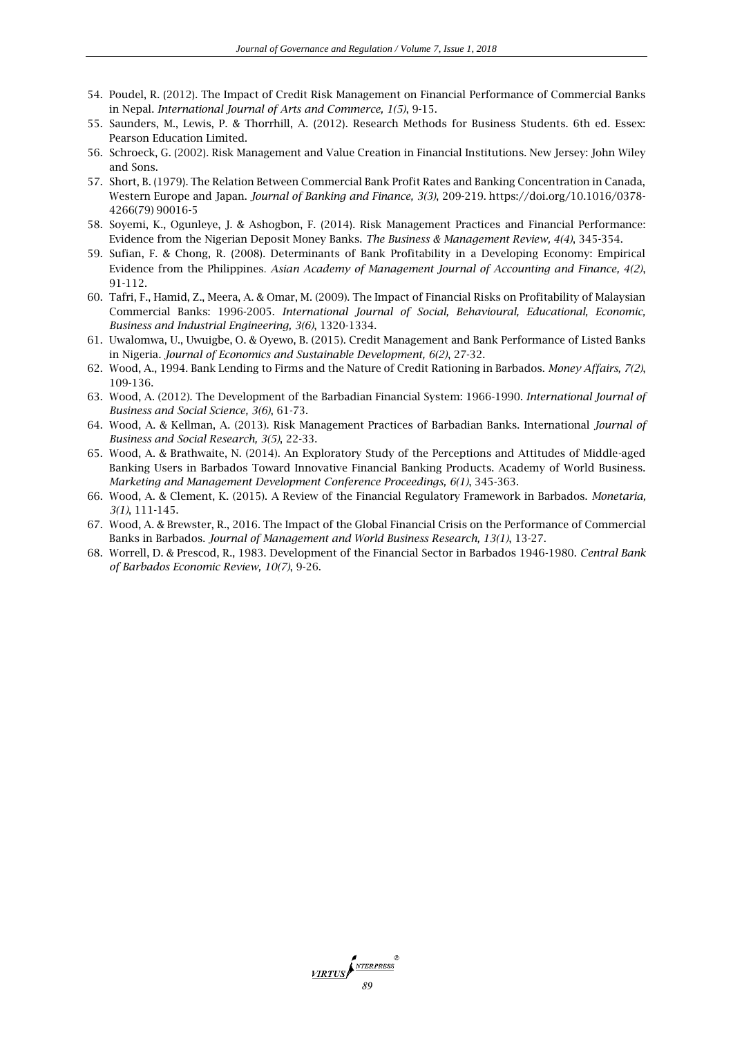- 54. Poudel, R. (2012). The Impact of Credit Risk Management on Financial Performance of Commercial Banks in Nepal. *International Journal of Arts and Commerce, 1(5)*, 9-15.
- 55. Saunders, M., Lewis, P. & Thorrhill, A. (2012). Research Methods for Business Students. 6th ed. Essex: Pearson Education Limited.
- 56. Schroeck, G. (2002). Risk Management and Value Creation in Financial Institutions. New Jersey: John Wiley and Sons.
- 57. Short, B. (1979). The Relation Between Commercial Bank Profit Rates and Banking Concentration in Canada, Western Europe and Japan. *Journal of Banking and Finance, 3(3)*, 209-219. https://doi.org/10.1016/0378- 4266(79) 90016-5
- 58. Soyemi, K., Ogunleye, J. & Ashogbon, F. (2014). Risk Management Practices and Financial Performance: Evidence from the Nigerian Deposit Money Banks. *The Business & Management Review, 4(4)*, 345-354.
- 59. Sufian, F. & Chong, R. (2008). Determinants of Bank Profitability in a Developing Economy: Empirical Evidence from the Philippines. *Asian Academy of Management Journal of Accounting and Finance, 4(2)*, 91-112.
- 60. Tafri, F., Hamid, Z., Meera, A. & Omar, M. (2009). The Impact of Financial Risks on Profitability of Malaysian Commercial Banks: 1996-2005. *International Journal of Social, Behavioural, Educational, Economic, Business and Industrial Engineering, 3(6)*, 1320-1334.
- 61. Uwalomwa, U., Uwuigbe, O. & Oyewo, B. (2015). Credit Management and Bank Performance of Listed Banks in Nigeria*. Journal of Economics and Sustainable Development, 6(2)*, 27-32.
- 62. Wood, A., 1994. Bank Lending to Firms and the Nature of Credit Rationing in Barbados. *Money Affairs, 7(2)*, 109-136.
- 63. Wood, A. (2012). The Development of the Barbadian Financial System: 1966-1990. *International Journal of Business and Social Science, 3(6)*, 61-73.
- 64. Wood, A. & Kellman, A. (2013). Risk Management Practices of Barbadian Banks. International *Journal of Business and Social Research, 3(5)*, 22-33.
- 65. Wood, A. & Brathwaite, N. (2014). An Exploratory Study of the Perceptions and Attitudes of Middle-aged Banking Users in Barbados Toward Innovative Financial Banking Products. Academy of World Business. *Marketing and Management Development Conference Proceedings, 6(1)*, 345-363.
- 66. Wood, A. & Clement, K. (2015). A Review of the Financial Regulatory Framework in Barbados. *Monetaria, 3(1)*, 111-145.
- 67. Wood, A. & Brewster, R., 2016. The Impact of the Global Financial Crisis on the Performance of Commercial Banks in Barbados. *Journal of Management and World Business Research, 13(1)*, 13-27.
- 68. Worrell, D. & Prescod, R., 1983. Development of the Financial Sector in Barbados 1946-1980. *Central Bank of Barbados Economic Review, 10(7)*, 9-26.

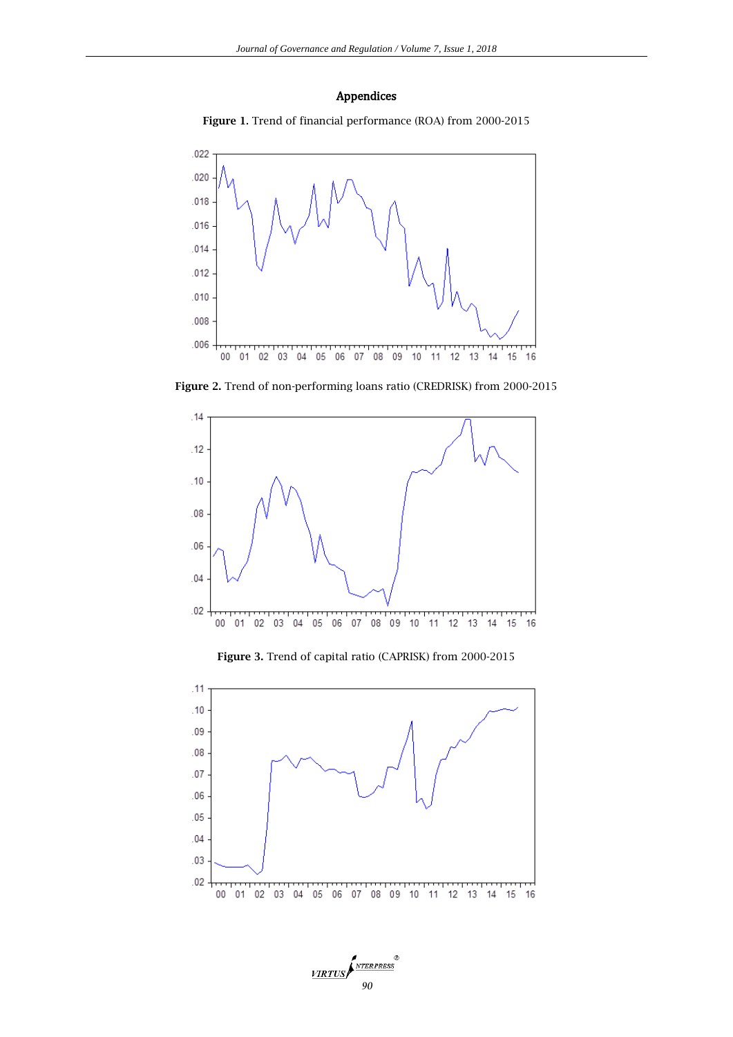# Appendices





**Figure 2.** Trend of non-performing loans ratio (CREDRISK) from 2000-2015



**Figure 3.** Trend of capital ratio (CAPRISK) from 2000-2015



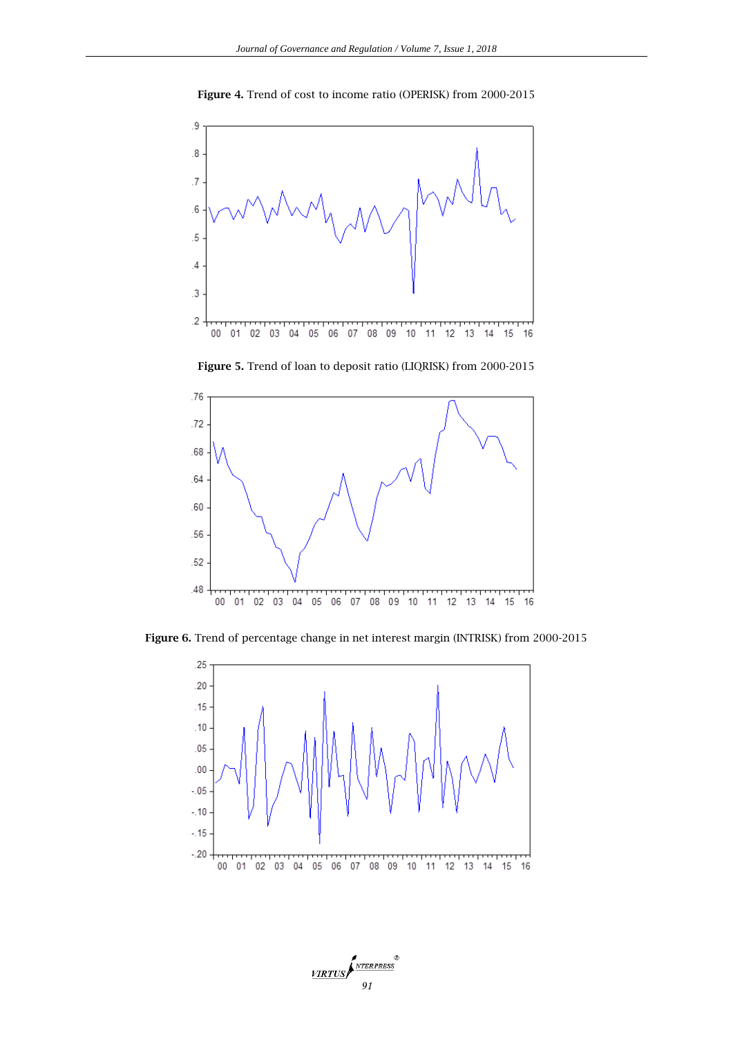

**Figure 4.** Trend of cost to income ratio (OPERISK) from 2000-2015



**Figure 5.** Trend of loan to deposit ratio (LIQRISK) from 2000-2015

**Figure 6.** Trend of percentage change in net interest margin (INTRISK) from 2000-2015



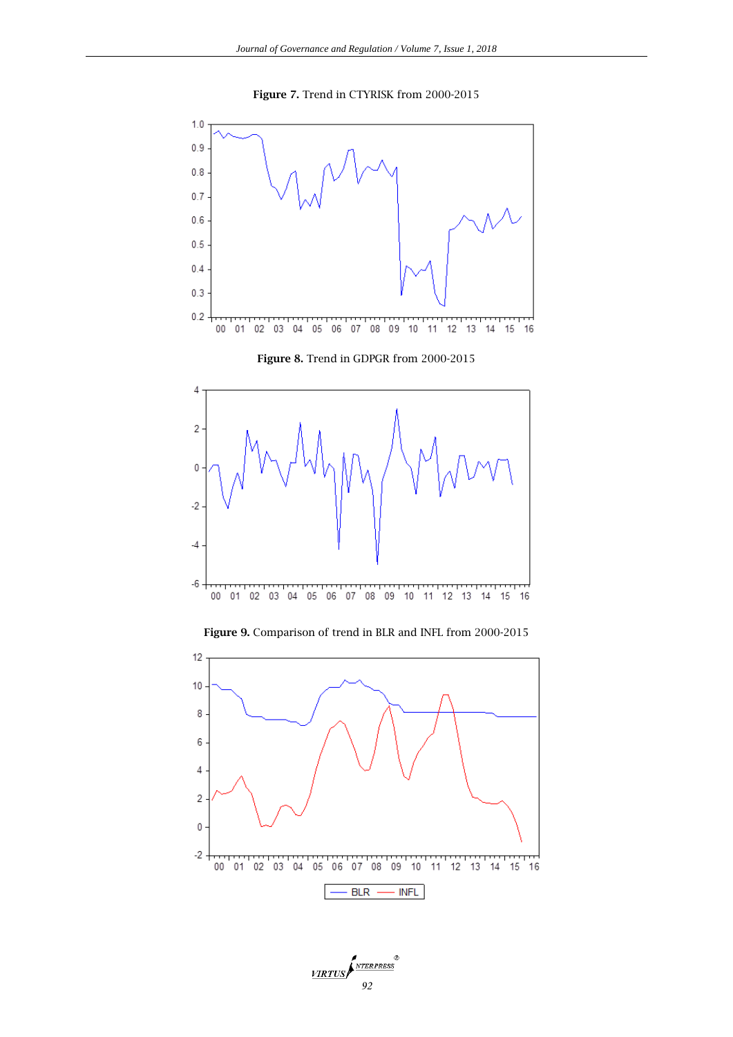







**Figure 9.** Comparison of trend in BLR and INFL from 2000-2015